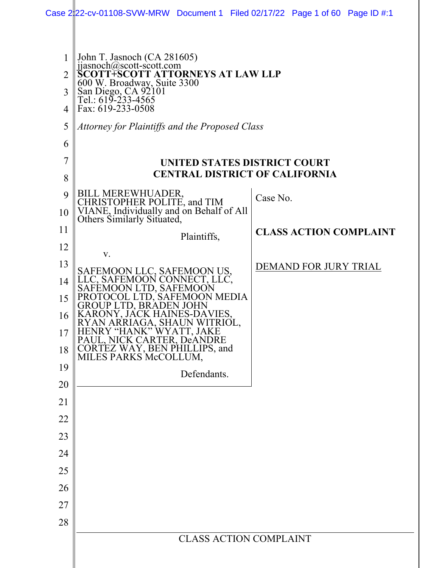|                | Case $2 22$ -cv-01108-SVW-MRW Document 1 Filed 02/17/22 Page 1 of 60 Page ID #:1                                           |                               |  |  |  |
|----------------|----------------------------------------------------------------------------------------------------------------------------|-------------------------------|--|--|--|
|                |                                                                                                                            |                               |  |  |  |
|                |                                                                                                                            |                               |  |  |  |
| 1              | John T. Jasnoch (CA 281605)                                                                                                |                               |  |  |  |
| $\overline{2}$ | $ijasnoch(\omega)$ scott-scott.com<br>SCOTT+SCOTT ATTORNEYS AT LAW LLP                                                     |                               |  |  |  |
| 3              | 600 W. Broadway, Suite 3300<br>San Diego, CA 92101<br>Tel.: 619-233-4565                                                   |                               |  |  |  |
| 4              | Fax: 619-233-0508                                                                                                          |                               |  |  |  |
| 5              | Attorney for Plaintiffs and the Proposed Class                                                                             |                               |  |  |  |
| 6              |                                                                                                                            |                               |  |  |  |
| 7              | UNITED STATES DISTRICT COURT                                                                                               |                               |  |  |  |
| 8              | <b>CENTRAL DISTRICT OF CALIFORNIA</b>                                                                                      |                               |  |  |  |
| 9              |                                                                                                                            | Case No.                      |  |  |  |
| 10             | BILL MEREWHUADER,<br>CHRISTOPHER POLITE, and TIM<br>VIANE, Individually and on Behalf of All<br>Others Similarly Situated, |                               |  |  |  |
| 11             | Plaintiffs,                                                                                                                | <b>CLASS ACTION COMPLAINT</b> |  |  |  |
| 12             | V.                                                                                                                         |                               |  |  |  |
| 13             |                                                                                                                            | DEMAND FOR JURY TRIAL         |  |  |  |
| 14             | SAFEMOON LLC, SAFEMOON US,<br>LLC, SAFEMOON CONNECT, LLC,<br>SAFEMOON LTD, SAFEMOON                                        |                               |  |  |  |
| 15             | PROTOCOL LTD, SAFEMOON MEDIA<br>GROUP LTD, BRÁDEN JOHN                                                                     |                               |  |  |  |
| 16             | KARONY, JACK HAINES-DAVIES,<br>RYAN ARRIAGA, SHAUN WITRIOL,                                                                |                               |  |  |  |
| 17             | HENRY "HANK" WYATT, JAKE<br>PAUL, NICK CARTER, DeANDRE                                                                     |                               |  |  |  |
| 18             | CORTEZ WAY, BEN PHILLIPS, and<br>MILES PARKS McCOLLUM,                                                                     |                               |  |  |  |
| 19             | Defendants.                                                                                                                |                               |  |  |  |
| 20             |                                                                                                                            |                               |  |  |  |
| 21             |                                                                                                                            |                               |  |  |  |
| 22             |                                                                                                                            |                               |  |  |  |
| 23             |                                                                                                                            |                               |  |  |  |
| 24             |                                                                                                                            |                               |  |  |  |
| 25             |                                                                                                                            |                               |  |  |  |
| 26             |                                                                                                                            |                               |  |  |  |
| 27             |                                                                                                                            |                               |  |  |  |
| 28             |                                                                                                                            |                               |  |  |  |
|                | <b>CLASS ACTION COMPLAINT</b>                                                                                              |                               |  |  |  |
|                |                                                                                                                            |                               |  |  |  |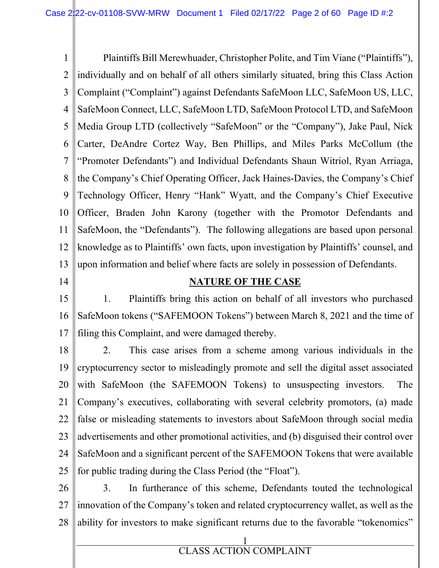1 2 3 4 5 6 7 8  $\mathbf Q$ 10 11 12 13 Plaintiffs Bill Merewhuader, Christopher Polite, and Tim Viane ("Plaintiffs"), individually and on behalf of all others similarly situated, bring this Class Action Complaint ("Complaint") against Defendants SafeMoon LLC, SafeMoon US, LLC, SafeMoon Connect, LLC, SafeMoon LTD, SafeMoon Protocol LTD, and SafeMoon Media Group LTD (collectively "SafeMoon" or the "Company"), Jake Paul, Nick Carter, DeAndre Cortez Way, Ben Phillips, and Miles Parks McCollum (the "Promoter Defendants") and Individual Defendants Shaun Witriol, Ryan Arriaga, the Company's Chief Operating Officer, Jack Haines-Davies, the Company's Chief Technology Officer, Henry "Hank" Wyatt, and the Company's Chief Executive Officer, Braden John Karony (together with the Promotor Defendants and SafeMoon, the "Defendants"). The following allegations are based upon personal knowledge as to Plaintiffs' own facts, upon investigation by Plaintiffs' counsel, and upon information and belief where facts are solely in possession of Defendants.

14

## **NATURE OF THE CASE**

15 16 17 1. Plaintiffs bring this action on behalf of all investors who purchased SafeMoon tokens ("SAFEMOON Tokens") between March 8, 2021 and the time of filing this Complaint, and were damaged thereby.

18 19 20 21 22 23 24 25 2. This case arises from a scheme among various individuals in the cryptocurrency sector to misleadingly promote and sell the digital asset associated with SafeMoon (the SAFEMOON Tokens) to unsuspecting investors. The Company's executives, collaborating with several celebrity promotors, (a) made false or misleading statements to investors about SafeMoon through social media advertisements and other promotional activities, and (b) disguised their control over SafeMoon and a significant percent of the SAFEMOON Tokens that were available for public trading during the Class Period (the "Float").

26 27 28 3. In furtherance of this scheme, Defendants touted the technological innovation of the Company's token and related cryptocurrency wallet, as well as the ability for investors to make significant returns due to the favorable "tokenomics"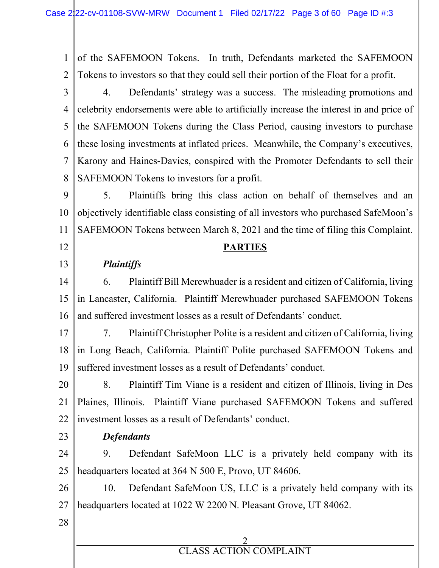1 2 of the SAFEMOON Tokens. In truth, Defendants marketed the SAFEMOON Tokens to investors so that they could sell their portion of the Float for a profit.

3 4 5 6 7 8 4. Defendants' strategy was a success. The misleading promotions and celebrity endorsements were able to artificially increase the interest in and price of the SAFEMOON Tokens during the Class Period, causing investors to purchase these losing investments at inflated prices. Meanwhile, the Company's executives, Karony and Haines-Davies, conspired with the Promoter Defendants to sell their SAFEMOON Tokens to investors for a profit.

9 10 11 5. Plaintiffs bring this class action on behalf of themselves and an objectively identifiable class consisting of all investors who purchased SafeMoon's SAFEMOON Tokens between March 8, 2021 and the time of filing this Complaint.

# **PARTIES**

# *Plaintiffs*

14 15 16 6. Plaintiff Bill Merewhuader is a resident and citizen of California, living in Lancaster, California. Plaintiff Merewhuader purchased SAFEMOON Tokens and suffered investment losses as a result of Defendants' conduct.

17 18 19 7. Plaintiff Christopher Polite is a resident and citizen of California, living in Long Beach, California. Plaintiff Polite purchased SAFEMOON Tokens and suffered investment losses as a result of Defendants' conduct.

20 21 22 8. Plaintiff Tim Viane is a resident and citizen of Illinois, living in Des Plaines, Illinois. Plaintiff Viane purchased SAFEMOON Tokens and suffered investment losses as a result of Defendants' conduct.

23

12

13

# *Defendants*

24 25 9. Defendant SafeMoon LLC is a privately held company with its headquarters located at 364 N 500 E, Provo, UT 84606.

26 27 10. Defendant SafeMoon US, LLC is a privately held company with its headquarters located at 1022 W 2200 N. Pleasant Grove, UT 84062.

28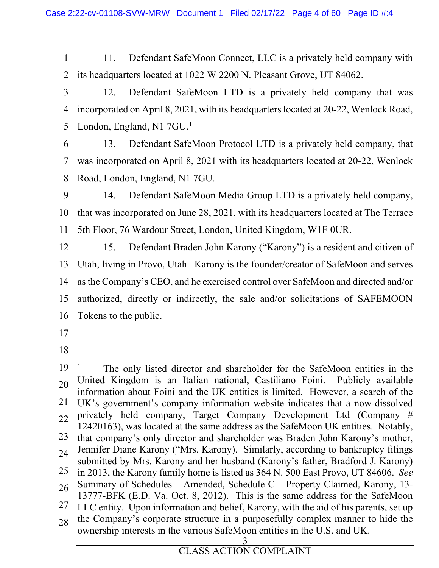1 2 11. Defendant SafeMoon Connect, LLC is a privately held company with its headquarters located at 1022 W 2200 N. Pleasant Grove, UT 84062.

3 4 5 12. Defendant SafeMoon LTD is a privately held company that was incorporated on April 8, 2021, with its headquarters located at 20-22, Wenlock Road, London, England, N1 7GU.<sup>1</sup>

6

7 8 13. Defendant SafeMoon Protocol LTD is a privately held company, that was incorporated on April 8, 2021 with its headquarters located at 20-22, Wenlock Road, London, England, N1 7GU.

9 10 11 14. Defendant SafeMoon Media Group LTD is a privately held company, that was incorporated on June 28, 2021, with its headquarters located at The Terrace 5th Floor, 76 Wardour Street, London, United Kingdom, W1F 0UR.

12 13 14 15 16 15. Defendant Braden John Karony ("Karony") is a resident and citizen of Utah, living in Provo, Utah. Karony is the founder/creator of SafeMoon and serves as the Company's CEO, and he exercised control over SafeMoon and directed and/or authorized, directly or indirectly, the sale and/or solicitations of SAFEMOON Tokens to the public.

17

18

3 19 20 21 22 23 24 25 26 27 28 1 The only listed director and shareholder for the SafeMoon entities in the United Kingdom is an Italian national, Castiliano Foini. Publicly available information about Foini and the UK entities is limited. However, a search of the UK's government's company information website indicates that a now-dissolved privately held company, Target Company Development Ltd (Company # 12420163), was located at the same address as the SafeMoon UK entities. Notably, that company's only director and shareholder was Braden John Karony's mother, Jennifer Diane Karony ("Mrs. Karony). Similarly, according to bankruptcy filings submitted by Mrs. Karony and her husband (Karony's father, Bradford J. Karony) in 2013, the Karony family home is listed as 364 N. 500 East Provo, UT 84606. *See* Summary of Schedules – Amended, Schedule C – Property Claimed, Karony, 13- 13777-BFK (E.D. Va. Oct. 8, 2012). This is the same address for the SafeMoon LLC entity. Upon information and belief, Karony, with the aid of his parents, set up the Company's corporate structure in a purposefully complex manner to hide the ownership interests in the various SafeMoon entities in the U.S. and UK.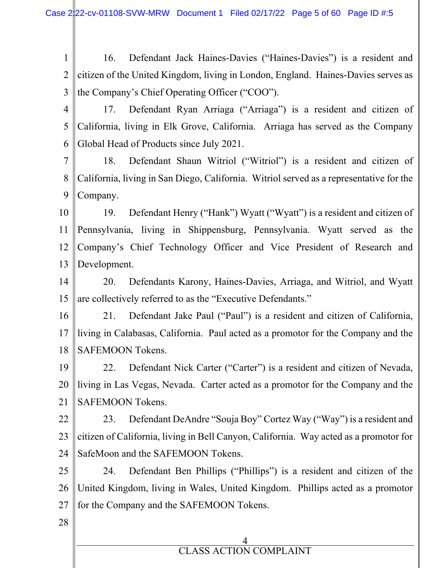1 2 3 16. Defendant Jack Haines-Davies ("Haines-Davies") is a resident and citizen of the United Kingdom, living in London, England. Haines-Davies serves as the Company's Chief Operating Officer ("COO").

4

5 6 17. Defendant Ryan Arriaga ("Arriaga") is a resident and citizen of California, living in Elk Grove, California. Arriaga has served as the Company Global Head of Products since July 2021.

7 8 9 18. Defendant Shaun Witriol ("Witriol") is a resident and citizen of California, living in San Diego, California. Witriol served as a representative for the Company.

10 11 12 13 19. Defendant Henry ("Hank") Wyatt ("Wyatt") is a resident and citizen of Pennsylvania, living in Shippensburg, Pennsylvania. Wyatt served as the Company's Chief Technology Officer and Vice President of Research and Development.

14 15 20. Defendants Karony, Haines-Davies, Arriaga, and Witriol, and Wyatt are collectively referred to as the "Executive Defendants."

16 17 18 21. Defendant Jake Paul ("Paul") is a resident and citizen of California, living in Calabasas, California. Paul acted as a promotor for the Company and the SAFEMOON Tokens.

19 20 21 22. Defendant Nick Carter ("Carter") is a resident and citizen of Nevada, living in Las Vegas, Nevada. Carter acted as a promotor for the Company and the SAFEMOON Tokens.

22 23 24 23. Defendant DeAndre "Souja Boy" Cortez Way ("Way") is a resident and citizen of California, living in Bell Canyon, California. Way acted as a promotor for SafeMoon and the SAFEMOON Tokens.

25 26 27 24. Defendant Ben Phillips ("Phillips") is a resident and citizen of the United Kingdom, living in Wales, United Kingdom. Phillips acted as a promotor for the Company and the SAFEMOON Tokens.

28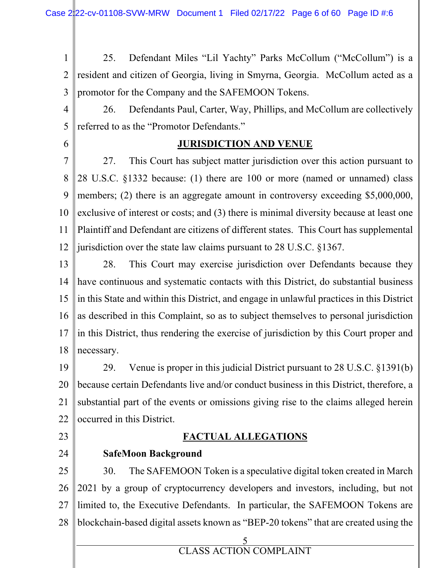1 2 3 25. Defendant Miles "Lil Yachty" Parks McCollum ("McCollum") is a resident and citizen of Georgia, living in Smyrna, Georgia. McCollum acted as a promotor for the Company and the SAFEMOON Tokens.

4 5 26. Defendants Paul, Carter, Way, Phillips, and McCollum are collectively referred to as the "Promotor Defendants."

6

# **JURISDICTION AND VENUE**

7 8  $\mathbf Q$ 10 11 12 27. This Court has subject matter jurisdiction over this action pursuant to 28 U.S.C. §1332 because: (1) there are 100 or more (named or unnamed) class members; (2) there is an aggregate amount in controversy exceeding \$5,000,000, exclusive of interest or costs; and (3) there is minimal diversity because at least one Plaintiff and Defendant are citizens of different states. This Court has supplemental jurisdiction over the state law claims pursuant to 28 U.S.C. §1367.

13 14 15 16 17 18 28. This Court may exercise jurisdiction over Defendants because they have continuous and systematic contacts with this District, do substantial business in this State and within this District, and engage in unlawful practices in this District as described in this Complaint, so as to subject themselves to personal jurisdiction in this District, thus rendering the exercise of jurisdiction by this Court proper and necessary.

19 20 21 22 29. Venue is proper in this judicial District pursuant to 28 U.S.C. §1391(b) because certain Defendants live and/or conduct business in this District, therefore, a substantial part of the events or omissions giving rise to the claims alleged herein occurred in this District.

23

24

# **FACTUAL ALLEGATIONS**

# **SafeMoon Background**

25 26 27 28 30. The SAFEMOON Token is a speculative digital token created in March 2021 by a group of cryptocurrency developers and investors, including, but not limited to, the Executive Defendants. In particular, the SAFEMOON Tokens are blockchain-based digital assets known as "BEP-20 tokens" that are created using the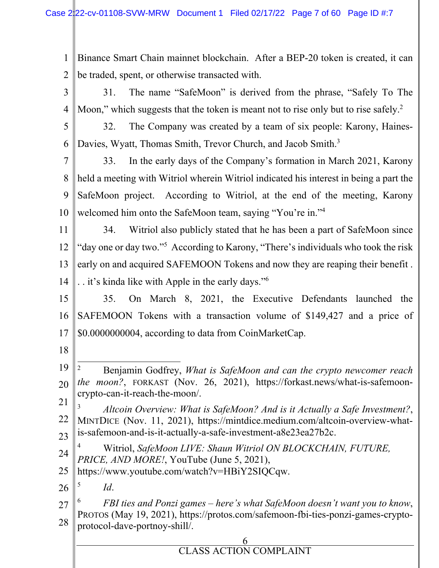1 2 Binance Smart Chain mainnet blockchain. After a BEP-20 token is created, it can be traded, spent, or otherwise transacted with.

- 3 4 31. The name "SafeMoon" is derived from the phrase, "Safely To The Moon," which suggests that the token is meant not to rise only but to rise safely.<sup>2</sup>
- 5 6 32. The Company was created by a team of six people: Karony, Haines-Davies, Wyatt, Thomas Smith, Trevor Church, and Jacob Smith.<sup>3</sup>

7 8  $\mathbf Q$ 10 33. In the early days of the Company's formation in March 2021, Karony held a meeting with Witriol wherein Witriol indicated his interest in being a part the SafeMoon project. According to Witriol, at the end of the meeting, Karony welcomed him onto the SafeMoon team, saying "You're in."<sup>4</sup>

11 12 13 14 34. Witriol also publicly stated that he has been a part of SafeMoon since "day one or day two."<sup>5</sup> According to Karony, "There's individuals who took the risk early on and acquired SAFEMOON Tokens and now they are reaping their benefit . . . it's kinda like with Apple in the early days."<sup>6</sup>

15 16 17 35. On March 8, 2021, the Executive Defendants launched the SAFEMOON Tokens with a transaction volume of \$149,427 and a price of \$0.0000000004, according to data from CoinMarketCap.

- 18
- 19 20 2 Benjamin Godfrey, *What is SafeMoon and can the crypto newcomer reach the moon?*, FORKAST (Nov. 26, 2021), https://forkast.news/what-is-safemooncrypto-can-it-reach-the-moon/.

21 22 23 3 *Altcoin Overview: What is SafeMoon? And is it Actually a Safe Investment?*, MINTDICE (Nov. 11, 2021), https://mintdice.medium.com/altcoin-overview-whatis-safemoon-and-is-it-actually-a-safe-investment-a8e23ea27b2c.

- 24 4 Witriol, *SafeMoon LIVE: Shaun Witriol ON BLOCKCHAIN, FUTURE, PRICE, AND MORE!*, YouTube (June 5, 2021),
- 25 https://www.youtube.com/watch?v=HBiY2SIQCqw.

26 5 *Id*.

27 28 6 *FBI ties and Ponzi games – here's what SafeMoon doesn't want you to know*, PROTOS (May 19, 2021), https://protos.com/safemoon-fbi-ties-ponzi-games-cryptoprotocol-dave-portnoy-shill/.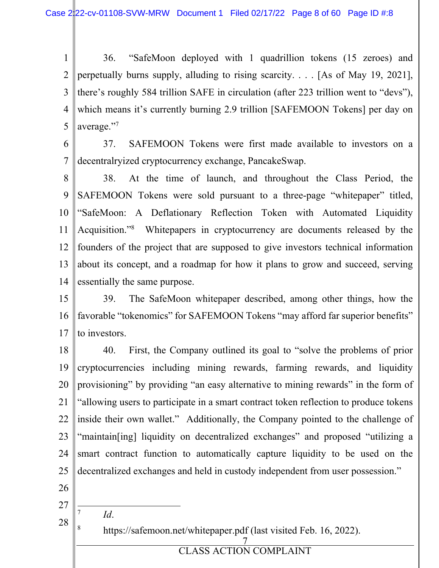1 2 3 4 5 36. "SafeMoon deployed with 1 quadrillion tokens (15 zeroes) and perpetually burns supply, alluding to rising scarcity. . . . [As of May 19, 2021], there's roughly 584 trillion SAFE in circulation (after 223 trillion went to "devs"), which means it's currently burning 2.9 trillion [SAFEMOON Tokens] per day on average."<sup>7</sup>

6 7 37. SAFEMOON Tokens were first made available to investors on a decentralryized cryptocurrency exchange, PancakeSwap.

8  $\mathbf Q$ 10 11 12 13 14 38. At the time of launch, and throughout the Class Period, the SAFEMOON Tokens were sold pursuant to a three-page "whitepaper" titled, "SafeMoon: A Deflationary Reflection Token with Automated Liquidity Acquisition."<sup>8</sup> Whitepapers in cryptocurrency are documents released by the founders of the project that are supposed to give investors technical information about its concept, and a roadmap for how it plans to grow and succeed, serving essentially the same purpose.

15 16 17 39. The SafeMoon whitepaper described, among other things, how the favorable "tokenomics" for SAFEMOON Tokens "may afford far superior benefits" to investors.

18 19 20 21 22 23 24 25 40. First, the Company outlined its goal to "solve the problems of prior cryptocurrencies including mining rewards, farming rewards, and liquidity provisioning" by providing "an easy alternative to mining rewards" in the form of "allowing users to participate in a smart contract token reflection to produce tokens inside their own wallet." Additionally, the Company pointed to the challenge of "maintain[ing] liquidity on decentralized exchanges" and proposed "utilizing a smart contract function to automatically capture liquidity to be used on the decentralized exchanges and held in custody independent from user possession."

- 26
- 27
- 28

7

8

*Id*.

https://safemoon.net/whitepaper.pdf (last visited Feb. 16, 2022).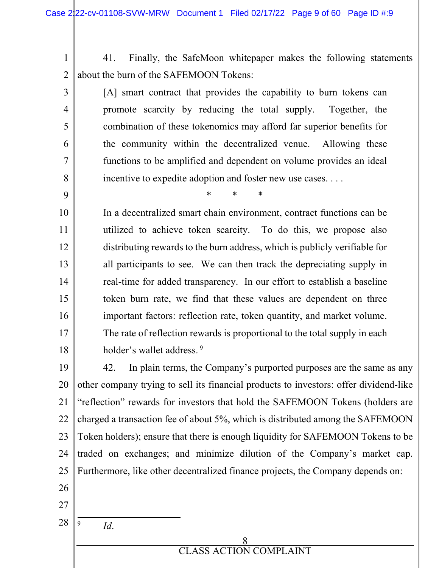1 2 41. Finally, the SafeMoon whitepaper makes the following statements about the burn of the SAFEMOON Tokens:

[A] smart contract that provides the capability to burn tokens can promote scarcity by reducing the total supply. Together, the combination of these tokenomics may afford far superior benefits for the community within the decentralized venue. Allowing these functions to be amplified and dependent on volume provides an ideal incentive to expedite adoption and foster new use cases. . . .

\* \* \*

In a decentralized smart chain environment, contract functions can be utilized to achieve token scarcity. To do this, we propose also distributing rewards to the burn address, which is publicly verifiable for all participants to see. We can then track the depreciating supply in real-time for added transparency. In our effort to establish a baseline token burn rate, we find that these values are dependent on three important factors: reflection rate, token quantity, and market volume. The rate of reflection rewards is proportional to the total supply in each holder's wallet address.<sup>9</sup>

19 20 21 22 23 24 25 26 27 42. In plain terms, the Company's purported purposes are the same as any other company trying to sell its financial products to investors: offer dividend-like "reflection" rewards for investors that hold the SAFEMOON Tokens (holders are charged a transaction fee of about 5%, which is distributed among the SAFEMOON Token holders); ensure that there is enough liquidity for SAFEMOON Tokens to be traded on exchanges; and minimize dilution of the Company's market cap. Furthermore, like other decentralized finance projects, the Company depends on:

28

9

3

4

5

6

7

8

9

10

11

12

13

14

15

16

17

18

*Id*.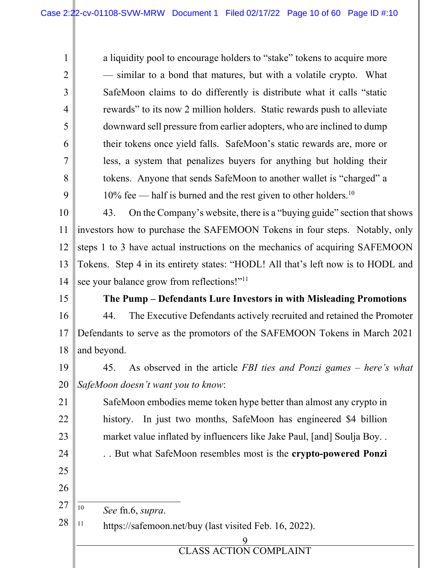a liquidity pool to encourage holders to "stake" tokens to acquire more — similar to a bond that matures, but with a volatile crypto. What SafeMoon claims to do differently is distribute what it calls "static rewards" to its now 2 million holders. Static rewards push to alleviate downward sell pressure from earlier adopters, who are inclined to dump their tokens once yield falls. SafeMoon's static rewards are, more or less, a system that penalizes buyers for anything but holding their tokens. Anyone that sends SafeMoon to another wallet is "charged" a  $10\%$  fee — half is burned and the rest given to other holders.<sup>10</sup>

10 11 12 13 14 43. On the Company's website, there is a "buying guide" section that shows investors how to purchase the SAFEMOON Tokens in four steps. Notably, only steps 1 to 3 have actual instructions on the mechanics of acquiring SAFEMOON Tokens. Step 4 in its entirety states: "HODL! All that's left now is to HODL and see your balance grow from reflections!"<sup>11</sup>

15

1

2

3

4

5

6

7

8

9

# **The Pump – Defendants Lure Investors in with Misleading Promotions**

16 17 18 44. The Executive Defendants actively recruited and retained the Promoter Defendants to serve as the promotors of the SAFEMOON Tokens in March 2021 and beyond.

19 20 45. As observed in the article *FBI ties and Ponzi games – here's what SafeMoon doesn't want you to know*:

SafeMoon embodies meme token hype better than almost any crypto in history. In just two months, SafeMoon has engineered \$4 billion market value inflated by influencers like Jake Paul, [and] Soulja Boy. .

. . But what SafeMoon resembles most is the **crypto-powered Ponzi** 

25 26

21

22

23

24

27

10 *See* fn.6, *supra*.

28 <sup>11</sup> https://safemoon.net/buy (last visited Feb. 16, 2022).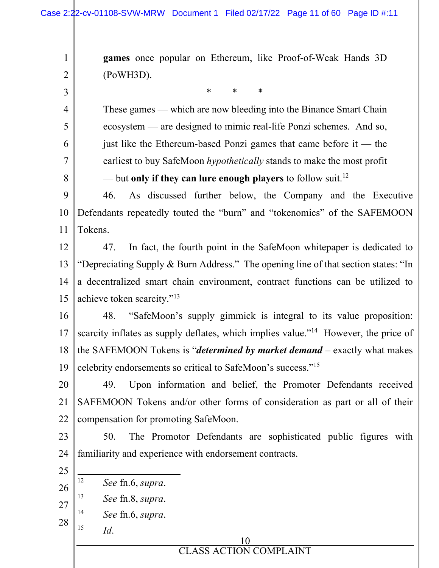**games** once popular on Ethereum, like Proof-of-Weak Hands 3D (PoWH3D).

\* \* \*

These games — which are now bleeding into the Binance Smart Chain ecosystem — are designed to mimic real-life Ponzi schemes. And so, just like the Ethereum-based Ponzi games that came before it — the earliest to buy SafeMoon *hypothetically* stands to make the most profit — but **only if they can lure enough players** to follow suit.<sup>12</sup>

9 10 11 46. As discussed further below, the Company and the Executive Defendants repeatedly touted the "burn" and "tokenomics" of the SAFEMOON Tokens.

12 13 14 15 47. In fact, the fourth point in the SafeMoon whitepaper is dedicated to "Depreciating Supply & Burn Address." The opening line of that section states: "In a decentralized smart chain environment, contract functions can be utilized to achieve token scarcity."<sup>13</sup>

16 17 18 19 48. "SafeMoon's supply gimmick is integral to its value proposition: scarcity inflates as supply deflates, which implies value."<sup>14</sup> However, the price of the SAFEMOON Tokens is "*determined by market demand* – exactly what makes celebrity endorsements so critical to SafeMoon's success."<sup>15</sup>

20 21 22 49. Upon information and belief, the Promoter Defendants received SAFEMOON Tokens and/or other forms of consideration as part or all of their compensation for promoting SafeMoon.

23 24 50. The Promotor Defendants are sophisticated public figures with familiarity and experience with endorsement contracts.

- 25 26 12 *See* fn.6, *supra*.
- 27 13 *See* fn.8, *supra*.
- 14 *See* fn.6, *supra*.

*Id*.

28 15

1

2

3

4

5

6

7

8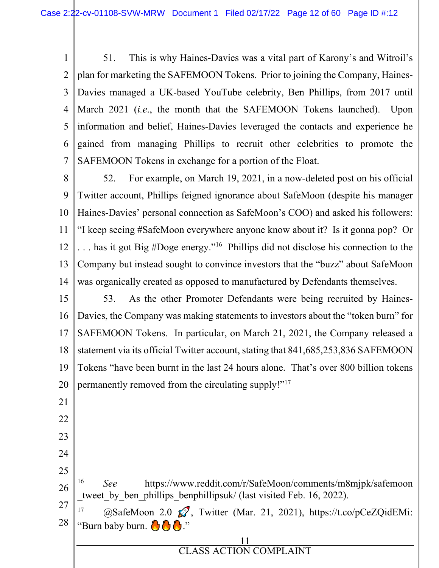1 2 3 4 5 6 7 51. This is why Haines-Davies was a vital part of Karony's and Witroil's plan for marketing the SAFEMOON Tokens. Prior to joining the Company, Haines-Davies managed a UK-based YouTube celebrity, Ben Phillips, from 2017 until March 2021 (*i.e*., the month that the SAFEMOON Tokens launched). Upon information and belief, Haines-Davies leveraged the contacts and experience he gained from managing Phillips to recruit other celebrities to promote the SAFEMOON Tokens in exchange for a portion of the Float.

8 9 10 11 12 13 14 52. For example, on March 19, 2021, in a now-deleted post on his official Twitter account, Phillips feigned ignorance about SafeMoon (despite his manager Haines-Davies' personal connection as SafeMoon's COO) and asked his followers: "I keep seeing #SafeMoon everywhere anyone know about it? Is it gonna pop? Or . . . has it got Big #Doge energy."<sup>16</sup> Phillips did not disclose his connection to the Company but instead sought to convince investors that the "buzz" about SafeMoon was organically created as opposed to manufactured by Defendants themselves.

15 16 17 18 19 20 53. As the other Promoter Defendants were being recruited by Haines-Davies, the Company was making statements to investors about the "token burn" for SAFEMOON Tokens. In particular, on March 21, 2021, the Company released a statement via its official Twitter account, stating that 841,685,253,836 SAFEMOON Tokens "have been burnt in the last 24 hours alone. That's over 800 billion tokens permanently removed from the circulating supply!"<sup>17</sup>

21 22

23

24

25

16

26

27 28 tweet by ben phillips benphillipsuk/ (last visited Feb. 16, 2022). <sup>17</sup> @SafeMoon 2.0  $\mathcal{O}$ , Twitter (Mar. 21, 2021), https://t.co/pCeZQidEMi: "Burn baby burn.  $\bigcirc$   $\bigcirc$   $\bigcirc$  ."

*See* https://www.reddit.com/r/SafeMoon/comments/m8mjpk/safemoon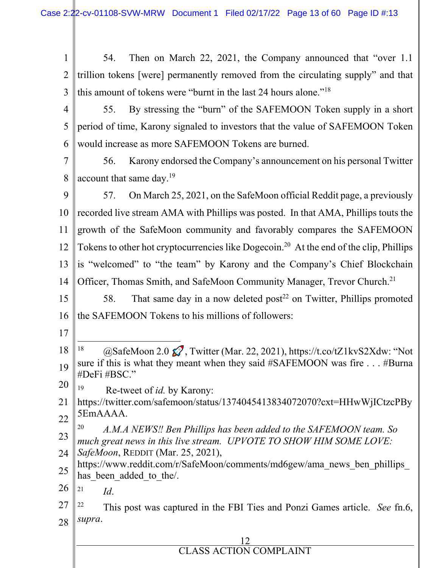1 2 3 4 5 6 7 8 9 10 11 12 13 14 15 16 17 18 19 20 21 22 23 24 25 54. Then on March 22, 2021, the Company announced that "over 1.1 trillion tokens [were] permanently removed from the circulating supply" and that this amount of tokens were "burnt in the last 24 hours alone."<sup>18</sup> 55. By stressing the "burn" of the SAFEMOON Token supply in a short period of time, Karony signaled to investors that the value of SAFEMOON Token would increase as more SAFEMOON Tokens are burned. 56. Karony endorsed the Company's announcement on his personal Twitter account that same day.<sup>19</sup> 57. On March 25, 2021, on the SafeMoon official Reddit page, a previously recorded live stream AMA with Phillips was posted. In that AMA, Phillips touts the growth of the SafeMoon community and favorably compares the SAFEMOON Tokens to other hot cryptocurrencies like Dogecoin.<sup>20</sup> At the end of the clip, Phillips is "welcomed" to "the team" by Karony and the Company's Chief Blockchain Officer, Thomas Smith, and SafeMoon Community Manager, Trevor Church.<sup>21</sup> 58. That same day in a now deleted post<sup>22</sup> on Twitter, Phillips promoted the SAFEMOON Tokens to his millions of followers: <sup>18</sup>  $\omega$ SafeMoon 2.0  $\Omega$ , Twitter (Mar. 22, 2021), https://t.co/tZ1kvS2Xdw: "Not sure if this is what they meant when they said #SAFEMOON was fire . . . #Burna #DeFi #BSC." <sup>19</sup> Re-tweet of *id.* by Karony: https://twitter.com/safemoon/status/1374045413834072070?cxt=HHwWjICtzcPBy 5EmAAAA. 20 *A.M.A NEWS‼ Ben Phillips has been added to the SAFEMOON team. So much great news in this live stream. UPVOTE TO SHOW HIM SOME LOVE: SafeMoon*, REDDIT (Mar. 25, 2021), https://www.reddit.com/r/SafeMoon/comments/md6gew/ama\_news\_ben\_phillips\_ has been added to the.

26 21 *Id*.

27 28 <sup>22</sup> This post was captured in the FBI Ties and Ponzi Games article. *See* fn.6, *supra*.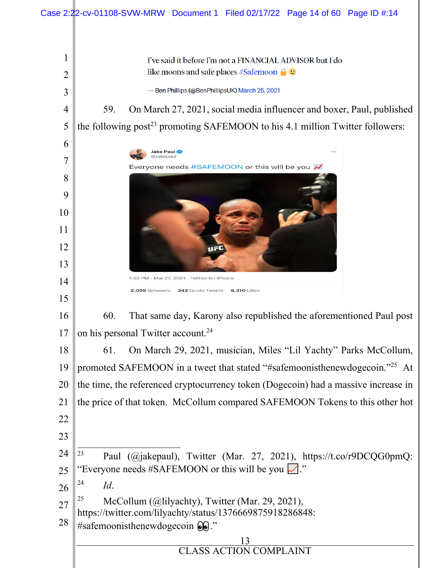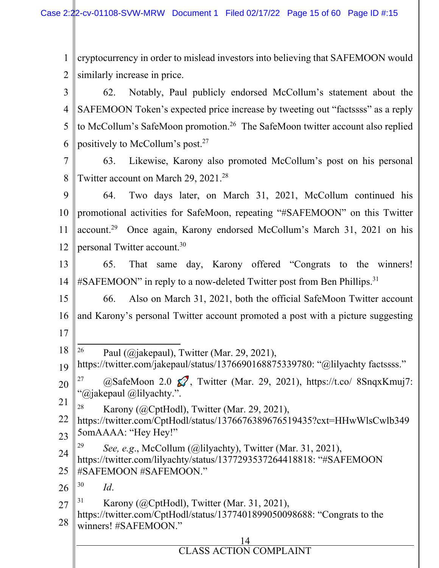1 2 3 4 5 6 7 8 9 10 11 12 cryptocurrency in order to mislead investors into believing that SAFEMOON would similarly increase in price. 62. Notably, Paul publicly endorsed McCollum's statement about the SAFEMOON Token's expected price increase by tweeting out "factssss" as a reply to McCollum's SafeMoon promotion.<sup>26</sup> The SafeMoon twitter account also replied positively to McCollum's post.<sup>27</sup> 63. Likewise, Karony also promoted McCollum's post on his personal Twitter account on March 29, 2021.<sup>28</sup> 64. Two days later, on March 31, 2021, McCollum continued his promotional activities for SafeMoon, repeating "#SAFEMOON" on this Twitter account.<sup>29</sup> Once again, Karony endorsed McCollum's March 31, 2021 on his personal Twitter account.<sup>30</sup>

13 14 65. That same day, Karony offered "Congrats to the winners! #SAFEMOON" in reply to a now-deleted Twitter post from Ben Phillips.<sup>31</sup>

15 16 17 66. Also on March 31, 2021, both the official SafeMoon Twitter account and Karony's personal Twitter account promoted a post with a picture suggesting

- 18 <sup>26</sup> Paul (@jakepaul), Twitter (Mar. 29, 2021),
- 19 https://twitter.com/jakepaul/status/1376690168875339780: "@lilyachty factssss."
- 20 21 <sup>27</sup>  $\omega$ SafeMoon 2.0  $\Omega$ , Twitter (Mar. 29, 2021), https://t.co/ 8SnqxKmuj7: "@jakepaul @lilyachty.".
- <sup>28</sup> Karony (@CptHodl), Twitter (Mar. 29, 2021),
- 22 23 https://twitter.com/CptHodl/status/1376676389676519435?cxt=HHwWlsCwlb349 5omAAAA: "Hey Hey!"
- 24 29 *See, e.g*., McCollum (@lilyachty), Twitter (Mar. 31, 2021),
- 25 https://twitter.com/lilyachty/status/1377293537264418818: "#SAFEMOON #SAFEMOON #SAFEMOON."

26 30 *Id*.

27 Karony ( $@CptHodl$ ), Twitter (Mar. 31, 2021),

28 https://twitter.com/CptHodl/status/1377401899050098688: "Congrats to the winners! #SAFEMOON."

# 14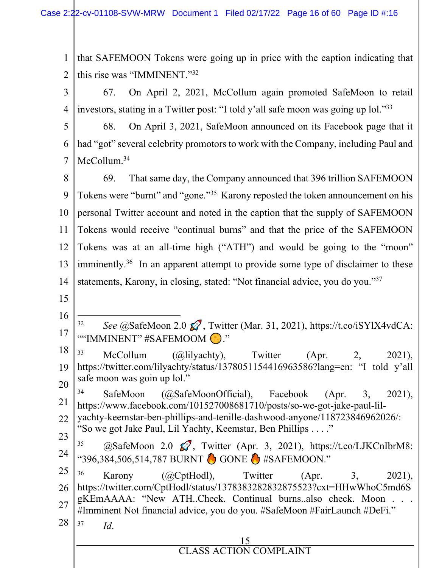1 2 that SAFEMOON Tokens were going up in price with the caption indicating that this rise was "IMMINENT."<sup>32</sup>

3 4 67. On April 2, 2021, McCollum again promoted SafeMoon to retail investors, stating in a Twitter post: "I told y'all safe moon was going up lol."<sup>33</sup>

5 6 7 68. On April 3, 2021, SafeMoon announced on its Facebook page that it had "got" several celebrity promotors to work with the Company, including Paul and McCollum.<sup>34</sup>

8 9 10 11 12 13 14 69. That same day, the Company announced that 396 trillion SAFEMOON Tokens were "burnt" and "gone."<sup>35</sup> Karony reposted the token announcement on his personal Twitter account and noted in the caption that the supply of SAFEMOON Tokens would receive "continual burns" and that the price of the SAFEMOON Tokens was at an all-time high ("ATH") and would be going to the "moon" imminently.<sup>36</sup> In an apparent attempt to provide some type of disclaimer to these statements, Karony, in closing, stated: "Not financial advice, you do you."<sup>37</sup>

- 15
- 16 17 32 *See* @SafeMoon 2.0  $\mathcal{O}$ , Twitter (Mar. 31, 2021), https://t.co/iSYlX4vdCA: ""IMMINENT" #SAFEMOOM ."
- 18 19 20  $33$  McCollum (@lilyachty), Twitter (Apr. 2, 2021), https://twitter.com/lilyachty/status/1378051154416963586?lang=en: "I told y'all safe moon was goin up lol."

21 22 <sup>34</sup> SafeMoon (@SafeMoonOfficial), Facebook (Apr. 3, 2021), https://www.facebook.com/101527008681710/posts/so-we-got-jake-paul-lilyachty-keemstar-ben-phillips-and-tenille-dashwood-anyone/118723846962026/: "So we got Jake Paul, Lil Yachty, Keemstar, Ben Phillips . . . ."

23 24  $35$  (a)SafeMoon 2.0  $\mathcal{O}$ , Twitter (Apr. 3, 2021), https://t.co/LJKCnIbrM8: "396,384,506,514,787 BURNT (GONE & #SAFEMOON."

25 26 27 28 <sup>36</sup> Karony (@CptHodl), Twitter (Apr. 3, 2021), https://twitter.com/CptHodl/status/1378383282832875523?cxt=HHwWhoC5md6S gKEmAAAA: "New ATH..Check. Continual burns..also check. Moon #Imminent Not financial advice, you do you. #SafeMoon #FairLaunch #DeFi." 37 *Id*.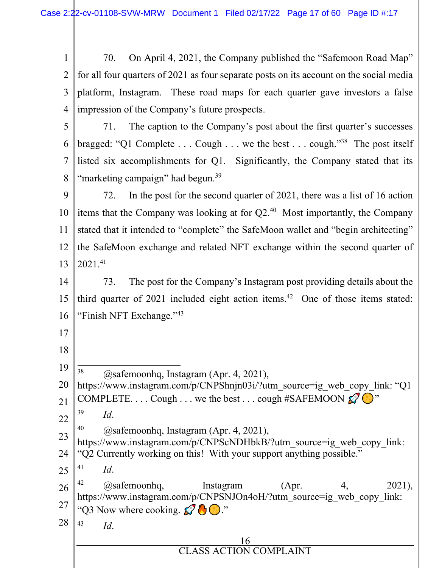| 1 70. On April 4, 2021, the Company published the "Safemoon Road Map"                        |
|----------------------------------------------------------------------------------------------|
| 2    for all four quarters of 2021 as four separate posts on its account on the social media |
| $3$   platform, Instagram. These road maps for each quarter gave investors a false           |
| $4$   impression of the Company's future prospects.                                          |
| $\sim$ $\sim$ $\sim$ $\sim$ $\sim$ $\sim$                                                    |

5 6 7 8 71. The caption to the Company's post about the first quarter's successes bragged: "Q1 Complete . . . Cough . . . we the best . . . cough."<sup>38</sup> The post itself listed six accomplishments for Q1. Significantly, the Company stated that its "marketing campaign" had begun.<sup>39</sup>

9 10 11 12 13 72. In the post for the second quarter of 2021, there was a list of 16 action items that the Company was looking at for  $Q2<sup>40</sup>$  Most importantly, the Company stated that it intended to "complete" the SafeMoon wallet and "begin architecting" the SafeMoon exchange and related NFT exchange within the second quarter of 2021.<sup>41</sup>

14 15 16 73. The post for the Company's Instagram post providing details about the third quarter of 2021 included eight action items.<sup>42</sup> One of those items stated: "Finish NFT Exchange."<sup>43</sup>

18

17

19  $38$  @safemoonhq, Instagram (Apr. 4, 2021),

20 21 22 https://www.instagram.com/p/CNPShnjn03i/?utm\_source=ig\_web\_copy\_link: "Q1 COMPLETE. . . . Cough . . . we the best . . . cough #SAFEMOON  $\mathscr{D}$   $\mathscr{D}$ " 39 *Id*.

- $^{40}$  (*a*) safemoonhq, Instagram (Apr. 4, 2021),
- 23 24 https://www.instagram.com/p/CNPScNDHbkB/?utm\_source=ig\_web\_copy\_link: "Q2 Currently working on this! With your support anything possible."
- 25 41 *Id*.

26 27 28 <sup>42</sup>  $\hat{\omega}$  as a femoonhq, list agram (Apr. 4, 2021), https://www.instagram.com/p/CNPSNJOn4oH/?utm\_source=ig\_web\_copy\_link: "Q3 Now where cooking.  $\mathcal{O}$   $\mathcal{O}$ ." 43

- *Id*.
- 16 CLASS ACTION COMPI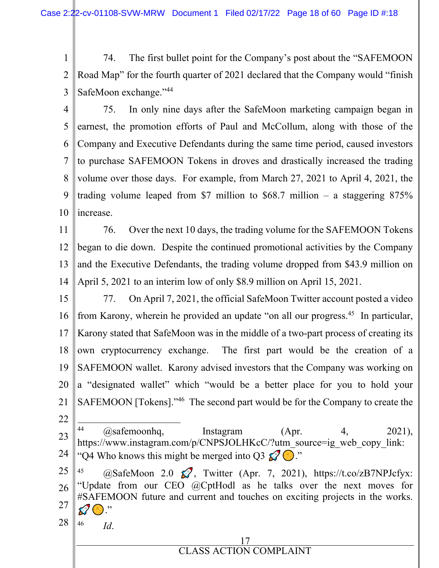1 2 3 74. The first bullet point for the Company's post about the "SAFEMOON Road Map" for the fourth quarter of 2021 declared that the Company would "finish SafeMoon exchange."<sup>44</sup>

- 4 5 6 7 8 9 10 75. In only nine days after the SafeMoon marketing campaign began in earnest, the promotion efforts of Paul and McCollum, along with those of the Company and Executive Defendants during the same time period, caused investors to purchase SAFEMOON Tokens in droves and drastically increased the trading volume over those days. For example, from March 27, 2021 to April 4, 2021, the trading volume leaped from \$7 million to \$68.7 million – a staggering  $875\%$ increase.
- 11 12 13 14 76. Over the next 10 days, the trading volume for the SAFEMOON Tokens began to die down. Despite the continued promotional activities by the Company and the Executive Defendants, the trading volume dropped from \$43.9 million on April 5, 2021 to an interim low of only \$8.9 million on April 15, 2021.
- 15 16 17 18 19 20 21 22 77. On April 7, 2021, the official SafeMoon Twitter account posted a video from Karony, wherein he provided an update "on all our progress.<sup>45</sup> In particular, Karony stated that SafeMoon was in the middle of a two-part process of creating its own cryptocurrency exchange. The first part would be the creation of a SAFEMOON wallet. Karony advised investors that the Company was working on a "designated wallet" which "would be a better place for you to hold your SAFEMOON [Tokens]."<sup>46</sup> The second part would be for the Company to create the
- 23 24  $^{44}$  ( $\hat{\omega}$ safemoonhq, Instagram (Apr. 4, 2021), https://www.instagram.com/p/CNPSJOLHKcC/?utm\_source=ig\_web\_copy\_link: "Q4 Who knows this might be merged into Q3  $\mathcal{Q} \odot$ ."
- 25 26 27 28  $^{45}$  (@SafeMoon 2.0  $\mathcal{Q}$ , Twitter (Apr. 7, 2021), https://t.co/zB7NPJcfyx: "Update from our CEO @CptHodl as he talks over the next moves for #SAFEMOON future and current and touches on exciting projects in the works.  $\mathcal{D}$

46 *Id*.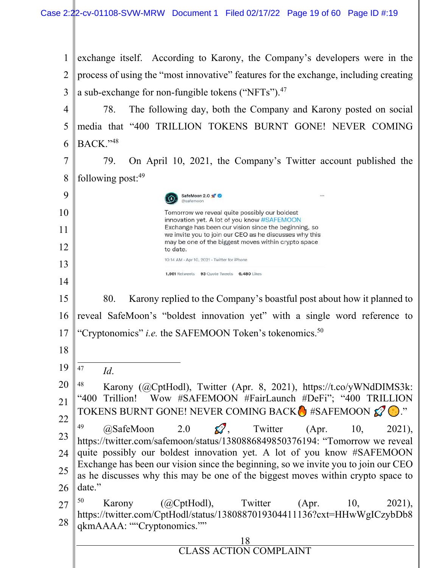1 2 3 exchange itself. According to Karony, the Company's developers were in the process of using the "most innovative" features for the exchange, including creating a sub-exchange for non-fungible tokens ("NFTs").<sup>47</sup>

4 5 6 78. The following day, both the Company and Karony posted on social media that "400 TRILLION TOKENS BURNT GONE! NEVER COMING BACK."<sup>48</sup>

7 8 79. On April 10, 2021, the Company's Twitter account published the following post: $49$ 

> @safemoon Tomorrow we reveal quite possibly our boldest innovation yet. A lot of you know #SAFEMOON Exchange has been our vision since the beginning, so we invite you to join our CEO as he discusses why this may be one of the biggest moves within crypto space to date. 10:14 AM · Apr 10, 2021 · Twitter for iPhone

1,661 Retweets 93 Ouote Tweets 6,480 Likes

SafeMoon 2.0

15 16 17 80. Karony replied to the Company's boastful post about how it planned to reveal SafeMoon's "boldest innovation yet" with a single word reference to "Cryptonomics" *i.e.* the SAFEMOON Token's tokenomics.<sup>50</sup>

47 *Id*.

9

10

11

12

13

14

18

19

20 21 <sup>48</sup> Karony (@CptHodl), Twitter (Apr. 8, 2021), https://t.co/yWNdDIMS3k: "400 Trillion! Wow #SAFEMOON #FairLaunch #DeFi"; "400 TRILLION TOKENS BURNT GONE! NEVER COMING BACK  $\bullet$  #SAFEMOON  $\mathscr{D}$ ."

22 23 24 25 26 <sup>49</sup>  $\omega$ SafeMoon 2.0  $\Omega$ , Twitter (Apr. 10, 2021), https://twitter.com/safemoon/status/1380886849850376194: "Tomorrow we reveal quite possibly our boldest innovation yet. A lot of you know #SAFEMOON Exchange has been our vision since the beginning, so we invite you to join our CEO as he discusses why this may be one of the biggest moves within crypto space to date."

27 28  $^{50}$  Karony (@CptHodl), Twitter (Apr. 10, 2021), https://twitter.com/CptHodl/status/1380887019304411136?cxt=HHwWgICzybDb8 qkmAAAA: ""Cryptonomics.""

| CLASS ACTION COMPLAINT |
|------------------------|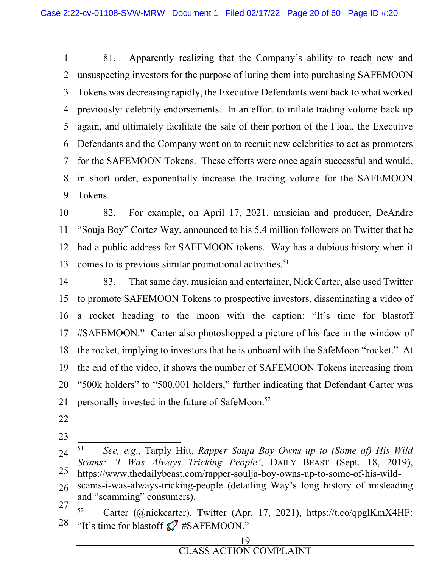1 2 3 4 5 6 7 8 9 81. Apparently realizing that the Company's ability to reach new and unsuspecting investors for the purpose of luring them into purchasing SAFEMOON Tokens was decreasing rapidly, the Executive Defendants went back to what worked previously: celebrity endorsements. In an effort to inflate trading volume back up again, and ultimately facilitate the sale of their portion of the Float, the Executive Defendants and the Company went on to recruit new celebrities to act as promoters for the SAFEMOON Tokens. These efforts were once again successful and would, in short order, exponentially increase the trading volume for the SAFEMOON Tokens.

10 11 12 13 82. For example, on April 17, 2021, musician and producer, DeAndre "Souja Boy" Cortez Way, announced to his 5.4 million followers on Twitter that he had a public address for SAFEMOON tokens. Way has a dubious history when it comes to is previous similar promotional activities.<sup>51</sup>

14 15 16 17 18 19 20 21 83. That same day, musician and entertainer, Nick Carter, also used Twitter to promote SAFEMOON Tokens to prospective investors, disseminating a video of a rocket heading to the moon with the caption: "It's time for blastoff #SAFEMOON." Carter also photoshopped a picture of his face in the window of the rocket, implying to investors that he is onboard with the SafeMoon "rocket." At the end of the video, it shows the number of SAFEMOON Tokens increasing from "500k holders" to "500,001 holders," further indicating that Defendant Carter was personally invested in the future of SafeMoon.<sup>52</sup>

- 22
- 23
- 24 25 51 *See, e.g*., Tarply Hitt, *Rapper Souja Boy Owns up to (Some of) His Wild Scams: 'I Was Always Tricking People'*, DAILY BEAST (Sept. 18, 2019), https://www.thedailybeast.com/rapper-soulja-boy-owns-up-to-some-of-his-wild-
- 26 27 scams-i-was-always-tricking-people (detailing Way's long history of misleading and "scamming" consumers).
- 28  $52$  Carter (@nickcarter), Twitter (Apr. 17, 2021), https://t.co/qpglKmX4HF: "It's time for blastoff  $\mathcal{D}$  #SAFEMOON."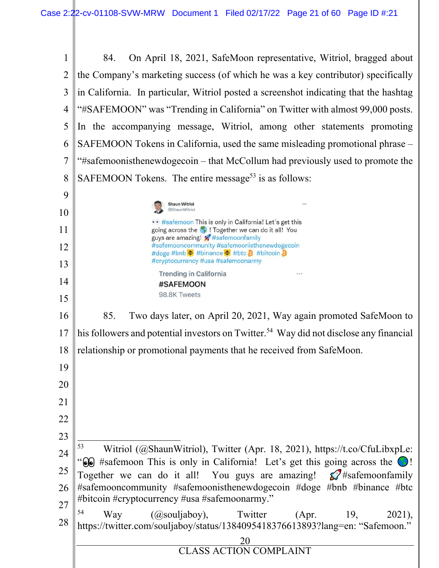| $\mathbf{1}$   | 84.                                                                                                                                                                         |  |  |
|----------------|-----------------------------------------------------------------------------------------------------------------------------------------------------------------------------|--|--|
|                | On April 18, 2021, SafeMoon representative, Witriol, bragged about                                                                                                          |  |  |
| $\overline{2}$ | the Company's marketing success (of which he was a key contributor) specifically                                                                                            |  |  |
| 3              | in California. In particular, Witriol posted a screenshot indicating that the hashtag                                                                                       |  |  |
| 4              | "#SAFEMOON" was "Trending in California" on Twitter with almost 99,000 posts.                                                                                               |  |  |
| 5              | In the accompanying message, Witriol, among other statements promoting                                                                                                      |  |  |
| 6              | SAFEMOON Tokens in California, used the same misleading promotional phrase –                                                                                                |  |  |
| 7              | "#safemoonisthenewdogecoin – that McCollum had previously used to promote the                                                                                               |  |  |
| 8              | SAFEMOON Tokens. The entire message <sup>53</sup> is as follows:                                                                                                            |  |  |
| 9              |                                                                                                                                                                             |  |  |
| 10             | <b>Shaun Witriol</b><br>@ShaunWitriol                                                                                                                                       |  |  |
| 11             | #safemoon This is only in California! Let's get this<br>going across the <b>1</b> . I Together we can do it all! You                                                        |  |  |
| 12             | guys are amazing! ##safemoonfamily<br>#safemooncommunity #safemoonisthenewdogecoin                                                                                          |  |  |
| 13             | #doge #bnb ♦ #binance ♦ #btc # #bitcoin<br>#cryptocurrency #usa #safemoonarmy                                                                                               |  |  |
| 14             | <b>Trending in California</b>                                                                                                                                               |  |  |
| 15             | #SAFEMOON<br>98.8K Tweets                                                                                                                                                   |  |  |
| 16             | 85.                                                                                                                                                                         |  |  |
|                | Two days later, on April 20, 2021, Way again promoted SafeMoon to                                                                                                           |  |  |
| 17             | his followers and potential investors on Twitter. <sup>54</sup> Way did not disclose any financial                                                                          |  |  |
| 18             | relationship or promotional payments that he received from SafeMoon.                                                                                                        |  |  |
| 19             |                                                                                                                                                                             |  |  |
| 20             |                                                                                                                                                                             |  |  |
| 21             |                                                                                                                                                                             |  |  |
| 22             |                                                                                                                                                                             |  |  |
| 23             |                                                                                                                                                                             |  |  |
| 24             | 53<br>Witriol (@ShaunWitriol), Twitter (Apr. 18, 2021), https://t.co/CfuLibxpLe:                                                                                            |  |  |
| 25             | $\odot$ #safemoon This is only in California! Let's get this going across the $\odot$ !<br>Together we can do it all! You guys are amazing! $\mathcal{D}^*$ #safemoonfamily |  |  |
| 26             | #safemooncommunity #safemoonisthenewdogecoin #doge #bnb #binance #btc                                                                                                       |  |  |
| 27             | #bitcoin #cryptocurrency #usa #safemoonarmy."                                                                                                                               |  |  |
| 28             | 54<br>$(Qsouljaboy)$ , Twitter<br>Way<br>(Apr.<br>19,<br>2021),<br>https://twitter.com/souljaboy/status/1384095418376613893?lang=en: "Safemoon."                            |  |  |
|                | 20                                                                                                                                                                          |  |  |
|                | $\frac{\text{20}}{\text{CLASS ACTION COMPLANT}}$                                                                                                                            |  |  |
|                |                                                                                                                                                                             |  |  |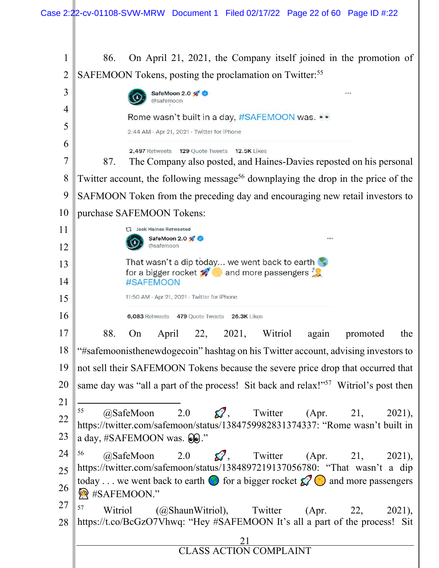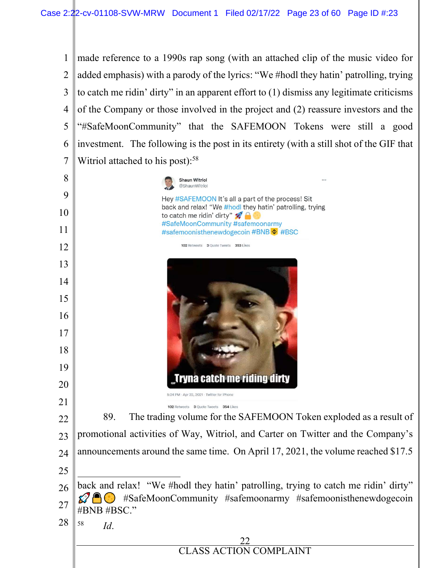

**Shaun Witriol** @ShaunWitriol 9 Hey #SAFEMOON It's all a part of the process! Sit back and relax! "We #hodl they hatin' patrolling, trying 10 to catch me ridin' dirty"  $\mathcal{L} \oplus$ #SafeMoonCommunity #safemoonarmy 11 #safemoonisthenewdogecoin #BNB : #BSC 12 102 Retweets 3 Quote Tweets 353 Likes 13 14 15 16 17 18 19 ryna catch me riding dirty 20 5:24 PM · Apr 22, 2021 · Twitter for iPhone 21 102 Retweets 3 Quote Tweets 354 Likes 89. The trading volume for the SAFEMOON Token exploded as a result of 22 promotional activities of Way, Witriol, and Carter on Twitter and the Company's 23 announcements around the same time. On April 17, 2021, the volume reached \$17.5 24 25 back and relax! "We #hodl they hatin' patrolling, trying to catch me ridin' dirty" 26 ⶱⶲⶳⶴⶵⶶⶸⶹ࠴࠳࠲࠱ᆰᆱᆲ #SafeMoonCommunity #safemoonarmy #safemoonisthenewdogecoin 27 #BNB #BSC." 28 58 *Id*.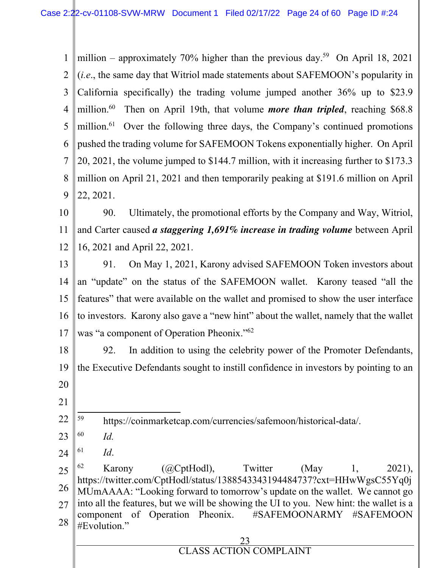1 2 3 4 5 6 7 8 9 million – approximately 70% higher than the previous day.<sup>59</sup> On April 18, 2021 (*i.e*., the same day that Witriol made statements about SAFEMOON's popularity in California specifically) the trading volume jumped another 36% up to \$23.9 million.<sup>60</sup> Then on April 19th, that volume *more than tripled*, reaching \$68.8 million.<sup>61</sup> Over the following three days, the Company's continued promotions pushed the trading volume for SAFEMOON Tokens exponentially higher. On April 20, 2021, the volume jumped to \$144.7 million, with it increasing further to \$173.3 million on April 21, 2021 and then temporarily peaking at \$191.6 million on April 22, 2021.

10 11 12 90. Ultimately, the promotional efforts by the Company and Way, Witriol, and Carter caused *a staggering 1,691% increase in trading volume* between April 16, 2021 and April 22, 2021.

13 14 15 16 17 91. On May 1, 2021, Karony advised SAFEMOON Token investors about an "update" on the status of the SAFEMOON wallet. Karony teased "all the features" that were available on the wallet and promised to show the user interface to investors. Karony also gave a "new hint" about the wallet, namely that the wallet was "a component of Operation Pheonix."<sup>62</sup>

18 19 20 92. In addition to using the celebrity power of the Promoter Defendants, the Executive Defendants sought to instill confidence in investors by pointing to an

21

22 <sup>59</sup> https://coinmarketcap.com/currencies/safemoon/historical-data/.

- 23 60 *Id.*
- 24 61 *Id*.

25 26 27 28  $^{62}$  Karony (@CptHodl), Twitter (May 1, 2021), https://twitter.com/CptHodl/status/1388543343194484737?cxt=HHwWgsC55Yq0j MUmAAAA: "Looking forward to tomorrow's update on the wallet. We cannot go into all the features, but we will be showing the UI to you. New hint: the wallet is a component of Operation Pheonix. #SAFEMOONARMY #SAFEMOON #Evolution."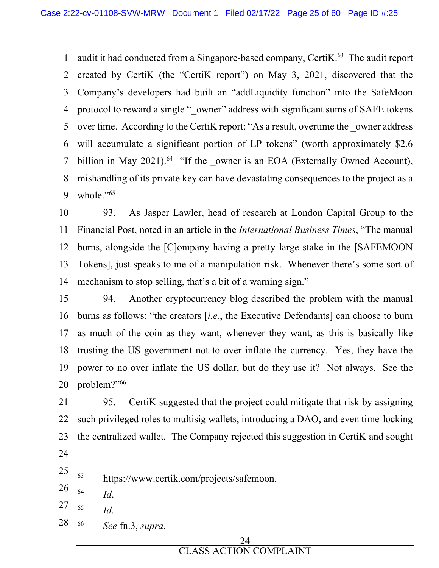1 2 3 4 5 6 7 8 9 audit it had conducted from a Singapore-based company, Certi $K<sup>63</sup>$  The audit report created by CertiK (the "CertiK report") on May 3, 2021, discovered that the Company's developers had built an "addLiquidity function" into the SafeMoon protocol to reward a single "\_owner" address with significant sums of SAFE tokens over time. According to the Certik report: "As a result, overtime the \_owner address will accumulate a significant portion of LP tokens" (worth approximately \$2.6) billion in May 2021).<sup>64</sup> "If the \_owner is an EOA (Externally Owned Account), mishandling of its private key can have devastating consequences to the project as a whole."<sup>65</sup>

10 11 12 13 14 93. As Jasper Lawler, head of research at London Capital Group to the Financial Post, noted in an article in the *International Business Times*, "The manual burns, alongside the [C]ompany having a pretty large stake in the [SAFEMOON Tokens], just speaks to me of a manipulation risk. Whenever there's some sort of mechanism to stop selling, that's a bit of a warning sign."

15 16 17 18 19 20 94. Another cryptocurrency blog described the problem with the manual burns as follows: "the creators [*i.e.*, the Executive Defendants] can choose to burn as much of the coin as they want, whenever they want, as this is basically like trusting the US government not to over inflate the currency. Yes, they have the power to no over inflate the US dollar, but do they use it? Not always. See the problem?"<sup>66</sup>

21 22 23 95. CertiK suggested that the project could mitigate that risk by assigning such privileged roles to multisig wallets, introducing a DAO, and even time-locking the centralized wallet. The Company rejected this suggestion in CertiK and sought

- 24
- 25 <sup>63</sup> https://www.certik.com/projects/safemoon.
- 26 64 *Id*.
- 27 65 *Id*.
- 28 66 *See* fn.3, *supra*.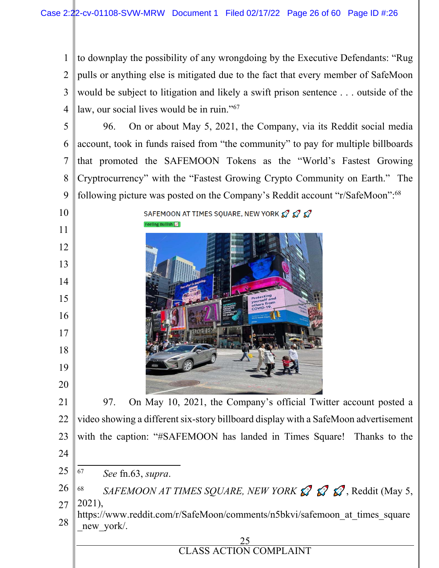to downplay the possibility of any wrongdoing by the Executive Defendants: "Rug pulls or anything else is mitigated due to the fact that every member of SafeMoon would be subject to litigation and likely a swift prison sentence . . . outside of the law, our social lives would be in ruin."<sup>67</sup>

 96. On or about May 5, 2021, the Company, via its Reddit social media account, took in funds raised from "the community" to pay for multiple billboards that promoted the SAFEMOON Tokens as the "World's Fastest Growing Cryptrocurrency" with the "Fastest Growing Crypto Community on Earth." The following picture was posted on the Company's Reddit account "r/SafeMoon":<sup>68</sup>





 97. On May 10, 2021, the Company's official Twitter account posted a video showing a different six-story billboard display with a SafeMoon advertisement with the caption: "#SAFEMOON has landed in Times Square! Thanks to the *See* fn.63, *supra*.

 *SAFEMOON AT TIMES SQUARE, NEW YORK*  $\mathcal{S}$   $\mathcal{S}$ , Reddit (May 5, 2021),

 https://www.reddit.com/r/SafeMoon/comments/n5bkvi/safemoon\_at\_times\_square new york.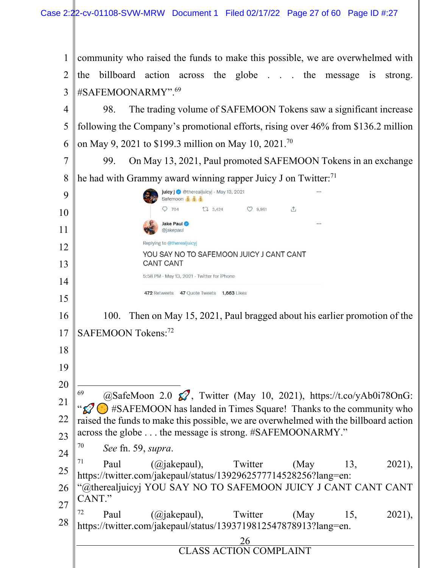| 1              | community who raised the funds to make this possible, we are overwhelmed with                                                                             |  |  |
|----------------|-----------------------------------------------------------------------------------------------------------------------------------------------------------|--|--|
| $\overline{2}$ | the billboard action across the globe the message is<br>strong.                                                                                           |  |  |
| 3              | #SAFEMOONARMY". <sup>69</sup>                                                                                                                             |  |  |
| 4              | The trading volume of SAFEMOON Tokens saw a significant increase<br>98.                                                                                   |  |  |
| 5              | following the Company's promotional efforts, rising over 46% from \$136.2 million                                                                         |  |  |
| 6              | on May 9, 2021 to \$199.3 million on May 10, 2021. <sup>70</sup>                                                                                          |  |  |
| $\overline{7}$ | On May 13, 2021, Paul promoted SAFEMOON Tokens in an exchange<br>99.                                                                                      |  |  |
| 8              | he had with Grammy award winning rapper Juicy J on Twitter: $71$                                                                                          |  |  |
| 9              | juicy j @therealjuicyj · May 13, 2021<br>Safemoon 5 5 5                                                                                                   |  |  |
| 10             | $\begin{array}{ccccc} \mathbb{C} & 3,424 & \bullet & \bullet & 9,961 \end{array}$<br>$Q$ 704<br>$\uparrow$                                                |  |  |
| 11             | Jake Paul<br>@jakepaul                                                                                                                                    |  |  |
| 12             | Replying to @therealjuicyj                                                                                                                                |  |  |
| 13             | YOU SAY NO TO SAFEMOON JUICY J CANT CANT<br><b>CANT CANT</b>                                                                                              |  |  |
| 14             | 5:58 PM · May 13, 2021 · Twitter for iPhone                                                                                                               |  |  |
| 15             | 472 Retweets 47 Quote Tweets 1,663 Likes                                                                                                                  |  |  |
| 16             | Then on May 15, 2021, Paul bragged about his earlier promotion of the<br>100.                                                                             |  |  |
| 17             | SAFEMOON Tokens: <sup>72</sup>                                                                                                                            |  |  |
| 18             |                                                                                                                                                           |  |  |
| 19             |                                                                                                                                                           |  |  |
| 20             |                                                                                                                                                           |  |  |
| 21             | 69<br>@SafeMoon 2.0 $\mathcal{D}$ , Twitter (May 10, 2021), https://t.co/yAb0i78OnG:                                                                      |  |  |
| 22             | #SAFEMOON has landed in Times Square! Thanks to the community who<br>raised the funds to make this possible, we are overwhelmed with the billboard action |  |  |
| 23             | across the globe the message is strong. #SAFEMOONARMY."                                                                                                   |  |  |
| 24             | 70<br>See fn. 59, supra.                                                                                                                                  |  |  |
| 25             | 71<br>Paul<br>(Q <sub>j</sub> akepaul),<br>Twitter<br>(May<br>13,<br>2021,<br>https://twitter.com/jakepaul/status/1392962577714528256?lang=en:            |  |  |
| 26             | "@therealjuicyj YOU SAY NO TO SAFEMOON JUICY J CANT CANT CANT                                                                                             |  |  |
| 27             | CANT."<br>72                                                                                                                                              |  |  |
| 28             | $(Q)$ jakepaul),<br>Twitter<br>2021),<br>(May<br>15,<br>Paul<br>https://twitter.com/jakepaul/status/1393719812547878913?lang=en.                          |  |  |
|                | $\frac{26}{\text{CLASS\,ACTION\,COMPLAINT}}$                                                                                                              |  |  |
|                |                                                                                                                                                           |  |  |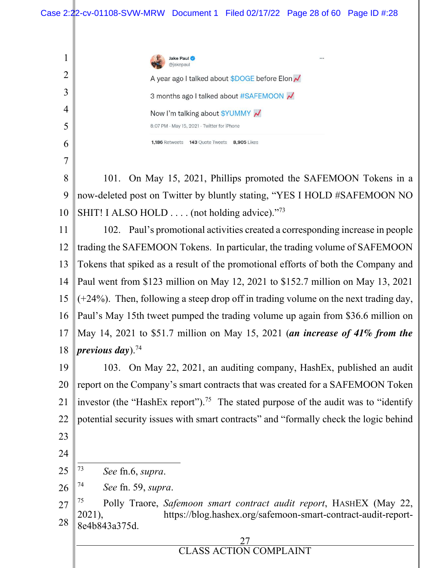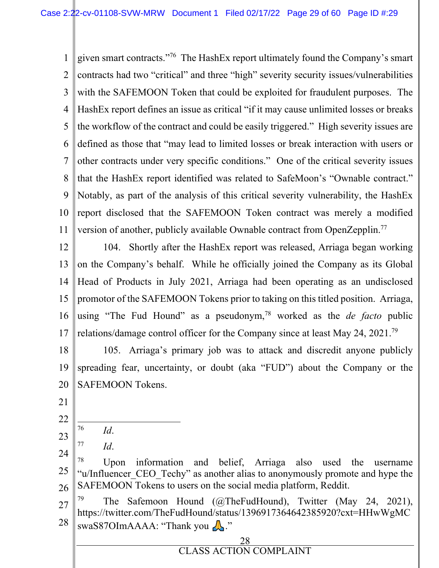1  $\mathfrak{D}$ 3 4 5 6 7 8  $\mathbf Q$ 10 11 given smart contracts."<sup>76</sup> The HashEx report ultimately found the Company's smart contracts had two "critical" and three "high" severity security issues/vulnerabilities with the SAFEMOON Token that could be exploited for fraudulent purposes. The HashEx report defines an issue as critical "if it may cause unlimited losses or breaks the workflow of the contract and could be easily triggered." High severity issues are defined as those that "may lead to limited losses or break interaction with users or other contracts under very specific conditions." One of the critical severity issues that the HashEx report identified was related to SafeMoon's "Ownable contract." Notably, as part of the analysis of this critical severity vulnerability, the HashEx report disclosed that the SAFEMOON Token contract was merely a modified version of another, publicly available Ownable contract from OpenZepplin.<sup>77</sup>

12 13 14 15 16 17 104. Shortly after the HashEx report was released, Arriaga began working on the Company's behalf. While he officially joined the Company as its Global Head of Products in July 2021, Arriaga had been operating as an undisclosed promotor of the SAFEMOON Tokens prior to taking on this titled position. Arriaga, using "The Fud Hound" as a pseudonym,<sup>78</sup> worked as the *de facto* public relations/damage control officer for the Company since at least May 24, 2021.<sup>79</sup>

18 19 20 105. Arriaga's primary job was to attack and discredit anyone publicly spreading fear, uncertainty, or doubt (aka "FUD") about the Company or the SAFEMOON Tokens.

- 21
- 22 23
- 77 *Id*.

*Id*.

76

- 24 25 26 <sup>78</sup> Upon information and belief, Arriaga also used the username "u/Influencer CEO Techy" as another alias to anonymously promote and hype the SAFEMOON Tokens to users on the social media platform, Reddit.
- 27 28 The Safemoon Hound (@TheFudHound), Twitter (May 24, 2021), https://twitter.com/TheFudHound/status/1396917364642385920?cxt=HHwWgMC swaS87OImAAAA: "Thank you  $\Lambda$ ."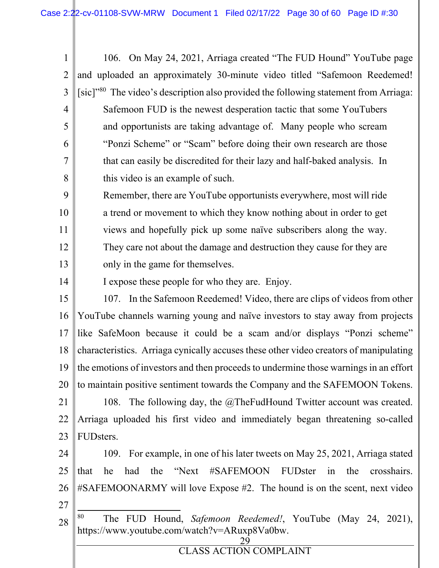1 2 3 4 5 6 7 8 106. On May 24, 2021, Arriaga created "The FUD Hound" YouTube page and uploaded an approximately 30-minute video titled "Safemoon Reedemed! [sic]"<sup>80</sup> The video's description also provided the following statement from Arriaga: Safemoon FUD is the newest desperation tactic that some YouTubers and opportunists are taking advantage of. Many people who scream "Ponzi Scheme" or "Scam" before doing their own research are those that can easily be discredited for their lazy and half-baked analysis. In this video is an example of such.

9 10 11 12 13 Remember, there are YouTube opportunists everywhere, most will ride a trend or movement to which they know nothing about in order to get views and hopefully pick up some naïve subscribers along the way. They care not about the damage and destruction they cause for they are only in the game for themselves.

I expose these people for who they are. Enjoy.

14

15 16 17 18 19 20 21 22 23 107. In the Safemoon Reedemed! Video, there are clips of videos from other YouTube channels warning young and naïve investors to stay away from projects like SafeMoon because it could be a scam and/or displays "Ponzi scheme" characteristics. Arriaga cynically accuses these other video creators of manipulating the emotions of investors and then proceeds to undermine those warnings in an effort to maintain positive sentiment towards the Company and the SAFEMOON Tokens. 108. The following day, the @TheFudHound Twitter account was created. Arriaga uploaded his first video and immediately began threatening so-called FUDsters.

24 25 26 27 109. For example, in one of his later tweets on May 25, 2021, Arriaga stated that he had the "Next #SAFEMOON FUDster in the crosshairs. #SAFEMOONARMY will love Expose #2. The hound is on the scent, next video

28 <sup>80</sup> The FUD Hound, *Safemoon Reedemed!*, YouTube (May 24, 2021), https://www.youtube.com/watch?v=ARuxp8Va0bw.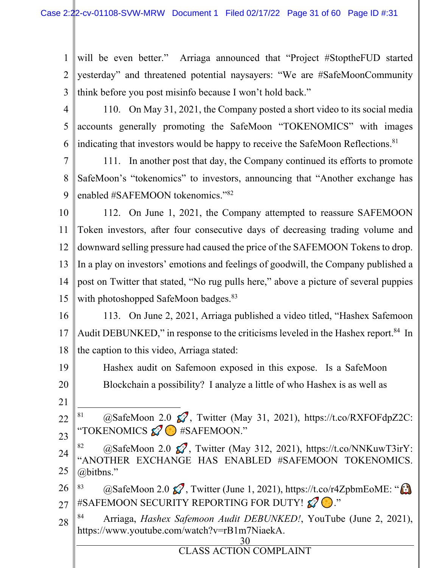1 2 3 will be even better." Arriaga announced that "Project #StoptheFUD started yesterday" and threatened potential naysayers: "We are #SafeMoonCommunity think before you post misinfo because I won't hold back."

4

5

6

110. On May 31, 2021, the Company posted a short video to its social media accounts generally promoting the SafeMoon "TOKENOMICS" with images indicating that investors would be happy to receive the SafeMoon Reflections.<sup>81</sup>

7 8 9 111. In another post that day, the Company continued its efforts to promote SafeMoon's "tokenomics" to investors, announcing that "Another exchange has enabled #SAFEMOON tokenomics."<sup>82</sup>

10 11 12 13 14 15 112. On June 1, 2021, the Company attempted to reassure SAFEMOON Token investors, after four consecutive days of decreasing trading volume and downward selling pressure had caused the price of the SAFEMOON Tokens to drop. In a play on investors' emotions and feelings of goodwill, the Company published a post on Twitter that stated, "No rug pulls here," above a picture of several puppies with photoshopped SafeMoon badges.<sup>83</sup>

16 17 18 113. On June 2, 2021, Arriaga published a video titled, "Hashex Safemoon Audit DEBUNKED," in response to the criticisms leveled in the Hashex report.<sup>84</sup> In the caption to this video, Arriaga stated:

19 20 Hashex audit on Safemoon exposed in this expose. Is a SafeMoon Blockchain a possibility? I analyze a little of who Hashex is as well as

21

22 23 81 @SafeMoon 2.0  $\mathcal{D}$ , Twitter (May 31, 2021), https://t.co/RXFOFdpZ2C: "TOKENOMICS  $\mathcal{O}$  #SAFEMOON."

24 25 @SafeMoon 2.0  $\mathcal{D}$ , Twitter (May 312, 2021), https://t.co/NNKuwT3irY: "ANOTHER EXCHANGE HAS ENABLED #SAFEMOON TOKENOMICS. @bitbns."

26 27 83 @SafeMoon 2.0  $\mathcal{D}$ , Twitter (June 1, 2021), https://t.co/r4ZpbmEoME: " $\mathcal{D}$ #SAFEMOON SECURITY REPORTING FOR DUTY!  $\mathscr{D}$  ."

28 <sup>84</sup> Arriaga, *Hashex Safemoon Audit DEBUNKED!*, YouTube (June 2, 2021), https://www.youtube.com/watch?v=rB1m7NiaekA.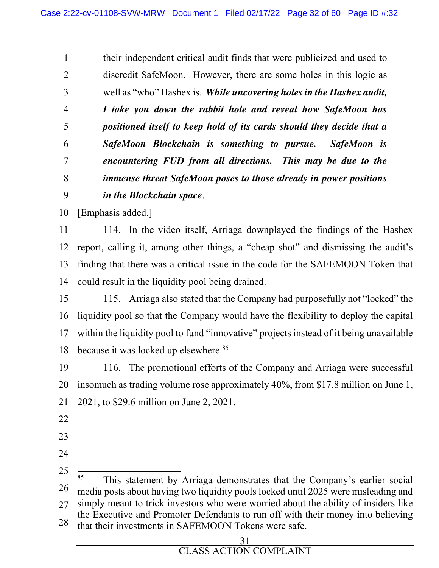their independent critical audit finds that were publicized and used to discredit SafeMoon. However, there are some holes in this logic as well as "who" Hashex is. *While uncovering holes in the Hashex audit, I take you down the rabbit hole and reveal how SafeMoon has positioned itself to keep hold of its cards should they decide that a SafeMoon Blockchain is something to pursue. SafeMoon is encountering FUD from all directions. This may be due to the immense threat SafeMoon poses to those already in power positions in the Blockchain space*.

10 [Emphasis added.]

1

2

3

4

5

6

7

8

9

11 12 13 14 114. In the video itself, Arriaga downplayed the findings of the Hashex report, calling it, among other things, a "cheap shot" and dismissing the audit's finding that there was a critical issue in the code for the SAFEMOON Token that could result in the liquidity pool being drained.

15 16 17 18 115. Arriaga also stated that the Company had purposefully not "locked" the liquidity pool so that the Company would have the flexibility to deploy the capital within the liquidity pool to fund "innovative" projects instead of it being unavailable because it was locked up elsewhere.<sup>85</sup>

19 20 21 116. The promotional efforts of the Company and Arriaga were successful insomuch as trading volume rose approximately 40%, from \$17.8 million on June 1, 2021, to \$29.6 million on June 2, 2021.

- 22
- 23
- 24

25 26 27 28 This statement by Arriaga demonstrates that the Company's earlier social media posts about having two liquidity pools locked until 2025 were misleading and simply meant to trick investors who were worried about the ability of insiders like the Executive and Promoter Defendants to run off with their money into believing that their investments in SAFEMOON Tokens were safe.

| <b>CLASS ACTION COMPLAINT</b> |
|-------------------------------|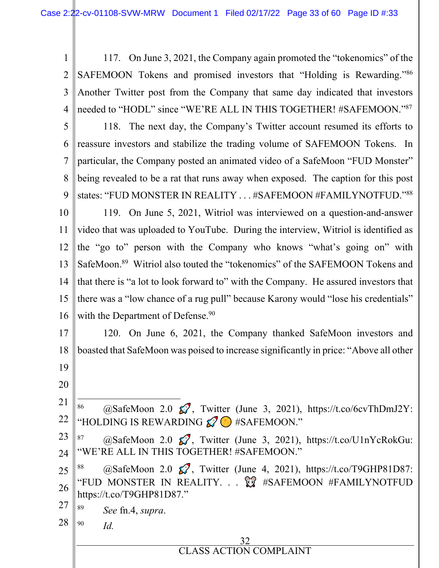1 2 3 4 117. On June 3, 2021, the Company again promoted the "tokenomics" of the SAFEMOON Tokens and promised investors that "Holding is Rewarding."<sup>86</sup> Another Twitter post from the Company that same day indicated that investors needed to "HODL" since "WE'RE ALL IN THIS TOGETHER! #SAFEMOON."<sup>87</sup>

5 6 7 8 9 10 11 12 13 14 15 118. The next day, the Company's Twitter account resumed its efforts to reassure investors and stabilize the trading volume of SAFEMOON Tokens. In particular, the Company posted an animated video of a SafeMoon "FUD Monster" being revealed to be a rat that runs away when exposed. The caption for this post states: "FUD MONSTER IN REALITY . . . #SAFEMOON #FAMILYNOTFUD."<sup>88</sup> 119. On June 5, 2021, Witriol was interviewed on a question-and-answer video that was uploaded to YouTube. During the interview, Witriol is identified as the "go to" person with the Company who knows "what's going on" with SafeMoon.<sup>89</sup> Witriol also touted the "tokenomics" of the SAFEMOON Tokens and that there is "a lot to look forward to" with the Company. He assured investors that there was a "low chance of a rug pull" because Karony would "lose his credentials"

16 with the Department of Defense.<sup>90</sup>

17 18 19 120. On June 6, 2021, the Company thanked SafeMoon investors and boasted that SafeMoon was poised to increase significantly in price: "Above all other

20

21 22 86  $@SafekMoon 2.0  $Q^7$ , Twitter (June 3, 2021), https://t.co/6cvThDmJ2Y:$ "HOLDING IS REWARDING  $\mathscr{D}$  #SAFEMOON."

23 24 87 @SafeMoon 2.0  $\mathcal{D}$ , Twitter (June 3, 2021), https://t.co/U1nYcRokGu: "WE'RE ALL IN THIS TOGETHER! #SAFEMOON."

25 26 88  $@SafekMoon 2.0  $Q$ , Twitter (June 4, 2021), <https://t.co/T9GHP81D87>:$ "FUD MONSTER IN REALITY. . .  $\mathbb{Q}$  #SAFEMOON #FAMILYNOTFUD https://t.co/T9GHP81D87."

27 89 *See* fn.4, *supra*.

28 90 *Id.*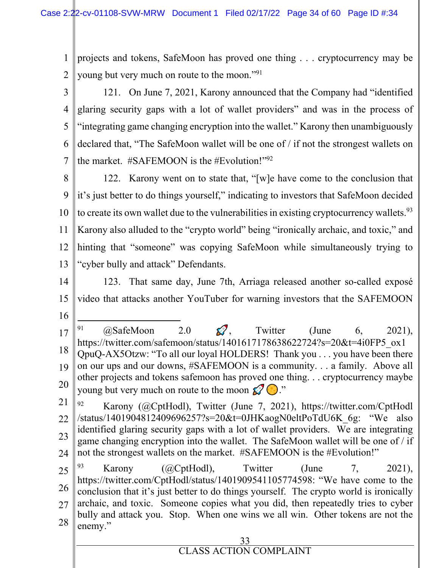1 2 projects and tokens, SafeMoon has proved one thing . . . cryptocurrency may be young but very much on route to the moon."<sup>91</sup>

3 4 5 6 7 121. On June 7, 2021, Karony announced that the Company had "identified glaring security gaps with a lot of wallet providers" and was in the process of "integrating game changing encryption into the wallet." Karony then unambiguously declared that, "The SafeMoon wallet will be one of / if not the strongest wallets on the market.  $\#SAFEMOON$  is the  $\#Evolution$ <sup> $\cdot$ </sup><sup>92</sup>

8 9 10 122. Karony went on to state that, "[w]e have come to the conclusion that it's just better to do things yourself," indicating to investors that SafeMoon decided to create its own wallet due to the vulnerabilities in existing cryptocurrency wallets.  $93$ 

11 12 13 Karony also alluded to the "crypto world" being "ironically archaic, and toxic," and hinting that "someone" was copying SafeMoon while simultaneously trying to "cyber bully and attack" Defendants.

14

15 16 123. That same day, June 7th, Arriaga released another so-called exposé video that attacks another YouTuber for warning investors that the SAFEMOON

- 17 18 19 20 <sup>91</sup>  $\omega$ SafeMoon 2.0  $\Omega$ , Twitter (June 6, 2021), https://twitter.com/safemoon/status/1401617178638622724?s=20&t=4i0FP5\_ox1 QpuQ-AX5Otzw: "To all our loyal HOLDERS! Thank you . . . you have been there on our ups and our downs, #SAFEMOON is a community. . . a family. Above all other projects and tokens safemoon has proved one thing. . . cryptocurrency maybe young but very much on route to the moon  $\mathcal{L}^{\bullet}(\cdot)$ ."
- 21 22 23 24 <sup>92</sup> Karony (@CptHodl), Twitter (June 7, 2021), https://twitter.com/CptHodl /status/1401904812409696257?s=20&t=0JHKaogN0eltPoTdU6K\_6g: "We also identified glaring security gaps with a lot of wallet providers. We are integrating game changing encryption into the wallet. The SafeMoon wallet will be one of / if not the strongest wallets on the market. #SAFEMOON is the #Evolution!"

25 26 27 28 <sup>93</sup> Karony (@CptHodl), Twitter (June 7, 2021), https://twitter.com/CptHodl/status/1401909541105774598: "We have come to the conclusion that it's just better to do things yourself. The crypto world is ironically archaic, and toxic. Someone copies what you did, then repeatedly tries to cyber bully and attack you. Stop. When one wins we all win. Other tokens are not the enemy."

# 33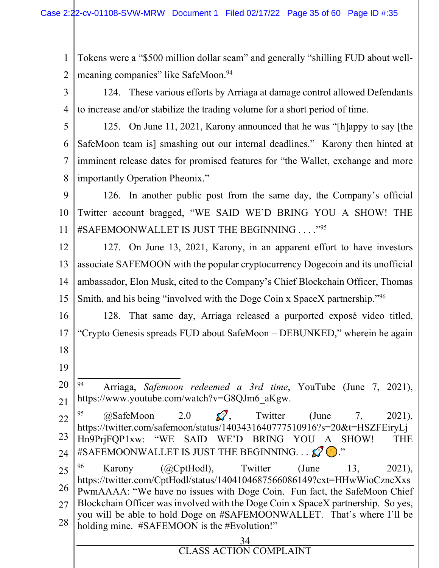1 2 Tokens were a "\$500 million dollar scam" and generally "shilling FUD about wellmeaning companies" like SafeMoon.<sup>94</sup>

3

124. These various efforts by Arriaga at damage control allowed Defendants to increase and/or stabilize the trading volume for a short period of time.

5

6

7

8

4

125. On June 11, 2021, Karony announced that he was "[h]appy to say [the SafeMoon team is] smashing out our internal deadlines." Karony then hinted at imminent release dates for promised features for "the Wallet, exchange and more importantly Operation Pheonix."

9 10 11 126. In another public post from the same day, the Company's official Twitter account bragged, "WE SAID WE'D BRING YOU A SHOW! THE #SAFEMOONWALLET IS JUST THE BEGINNING . . . . "95

12 13 14 15 127. On June 13, 2021, Karony, in an apparent effort to have investors associate SAFEMOON with the popular cryptocurrency Dogecoin and its unofficial ambassador, Elon Musk, cited to the Company's Chief Blockchain Officer, Thomas Smith, and his being "involved with the Doge Coin x SpaceX partnership."<sup>96</sup>

16 17 128. That same day, Arriaga released a purported exposé video titled, "Crypto Genesis spreads FUD about SafeMoon – DEBUNKED," wherein he again

- 18
- 19

20 21 <sup>94</sup> Arriaga, *Safemoon redeemed a 3rd time*, YouTube (June 7, 2021), https://www.youtube.com/watch?v=G8QJm6\_aKgw.

22 23 24 <sup>95</sup>  $\omega$ SafeMoon 2.0  $\Omega$ , Twitter (June 7, 2021), https://twitter.com/safemoon/status/1403431640777510916?s=20&t=HSZFEiryLj Hn9PrjFQP1xw: "WE SAID WE'D BRING YOU A SHOW! THE #SAFEMOONWALLET IS JUST THE BEGINNING. . .  $\mathscr{D} \odot$ ."

25 26 27 28 <sup>96</sup> Karony (@CptHodl), Twitter (June 13, 2021), https://twitter.com/CptHodl/status/1404104687566086149?cxt=HHwWioCzncXxs PwmAAAA: "We have no issues with Doge Coin. Fun fact, the SafeMoon Chief Blockchain Officer was involved with the Doge Coin x SpaceX partnership. So yes, you will be able to hold Doge on #SAFEMOONWALLET. That's where I'll be holding mine. #SAFEMOON is the #Evolution!"

| <b>CLASS ACTION COMPLAINT</b> |
|-------------------------------|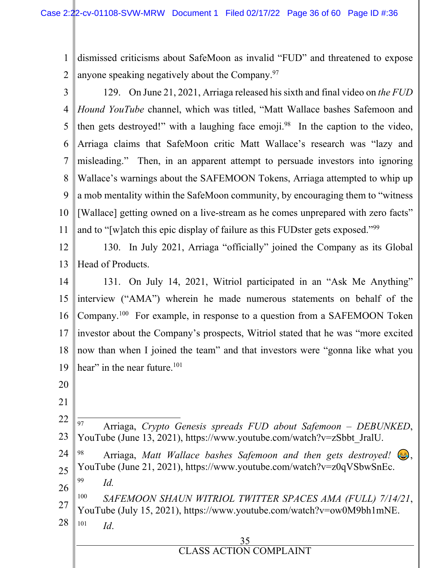1 2 dismissed criticisms about SafeMoon as invalid "FUD" and threatened to expose anyone speaking negatively about the Company.<sup>97</sup>

- 3 4 5 6 7 8 9 10 11 129. On June 21, 2021, Arriaga released his sixth and final video on *the FUD Hound YouTube* channel, which was titled, "Matt Wallace bashes Safemoon and then gets destroyed!" with a laughing face emoji.<sup>98</sup> In the caption to the video, Arriaga claims that SafeMoon critic Matt Wallace's research was "lazy and misleading." Then, in an apparent attempt to persuade investors into ignoring Wallace's warnings about the SAFEMOON Tokens, Arriaga attempted to whip up a mob mentality within the SafeMoon community, by encouraging them to "witness [Wallace] getting owned on a live-stream as he comes unprepared with zero facts" and to "[w]atch this epic display of failure as this FUDster gets exposed."<sup>99</sup>
- 12 13 130. In July 2021, Arriaga "officially" joined the Company as its Global Head of Products.
- 14 15 16 17 18 19 131. On July 14, 2021, Witriol participated in an "Ask Me Anything" interview ("AMA") wherein he made numerous statements on behalf of the Company.<sup>100</sup> For example, in response to a question from a SAFEMOON Token investor about the Company's prospects, Witriol stated that he was "more excited now than when I joined the team" and that investors were "gonna like what you hear" in the near future.<sup>101</sup>
- 20
- 21
- 22 23 <sup>97</sup> Arriaga, *Crypto Genesis spreads FUD about Safemoon – DEBUNKED*, YouTube (June 13, 2021), https://www.youtube.com/watch?v=zSbbt\_JralU.
- 24 25 <sup>98</sup> Arriaga, *Matt Wallace bashes Safemoon and then gets destroyed!*  $\bigcirc$ , YouTube (June 21, 2021), https://www.youtube.com/watch?v=z0qVSbwSnEc.
- 26 99

*Id.*

27 28 100 *SAFEMOON SHAUN WITRIOL TWITTER SPACES AMA (FULL) 7/14/21*, YouTube (July 15, 2021), https://www.youtube.com/watch?v=ow0M9bh1mNE. 101 *Id*.

# 35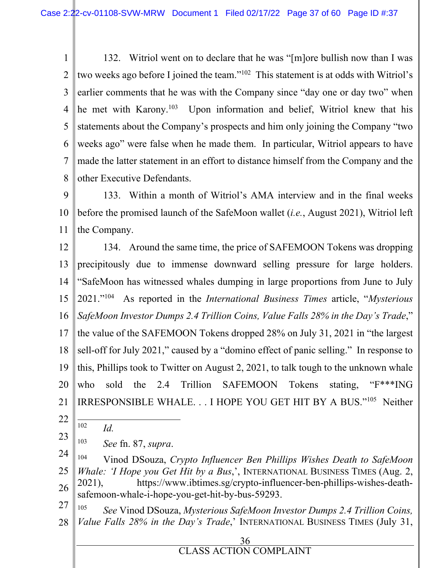1 2 3 4 5 6 7 8 132. Witriol went on to declare that he was "[m]ore bullish now than I was two weeks ago before I joined the team."<sup>102</sup> This statement is at odds with Witriol's earlier comments that he was with the Company since "day one or day two" when he met with Karony.<sup>103</sup> Upon information and belief, Witriol knew that his statements about the Company's prospects and him only joining the Company "two weeks ago" were false when he made them. In particular, Witriol appears to have made the latter statement in an effort to distance himself from the Company and the other Executive Defendants.

9 10 11 133. Within a month of Witriol's AMA interview and in the final weeks before the promised launch of the SafeMoon wallet (*i.e.*, August 2021), Witriol left the Company.

12 13 14 15 16 17 18 19 20 21 134. Around the same time, the price of SAFEMOON Tokens was dropping precipitously due to immense downward selling pressure for large holders. "SafeMoon has witnessed whales dumping in large proportions from June to July 2021."<sup>104</sup> As reported in the *International Business Times* article, "*Mysterious SafeMoon Investor Dumps 2.4 Trillion Coins, Value Falls 28% in the Day's Trade*," the value of the SAFEMOON Tokens dropped 28% on July 31, 2021 in "the largest sell-off for July 2021," caused by a "domino effect of panic selling." In response to this, Phillips took to Twitter on August 2, 2021, to talk tough to the unknown whale who sold the 2.4 Trillion SAFEMOON Tokens stating, "F<sup>\*\*\*</sup>ING" IRRESPONSIBLE WHALE. . . I HOPE YOU GET HIT BY A BUS."<sup>105</sup> Neither

22

102 *Id.*

23 103 *See* fn. 87, *supra*.

24 25 26 <sup>104</sup> Vinod DSouza, *Crypto Influencer Ben Phillips Wishes Death to SafeMoon Whale: 'I Hope you Get Hit by a Bus*,', INTERNATIONAL BUSINESS TIMES (Aug. 2, 2021), https://www.ibtimes.sg/crypto-influencer-ben-phillips-wishes-deathsafemoon-whale-i-hope-you-get-hit-by-bus-59293.

27 28 105 *See* Vinod DSouza, *Mysterious SafeMoon Investor Dumps 2.4 Trillion Coins, Value Falls 28% in the Day's Trade*,' INTERNATIONAL BUSINESS TIMES (July 31,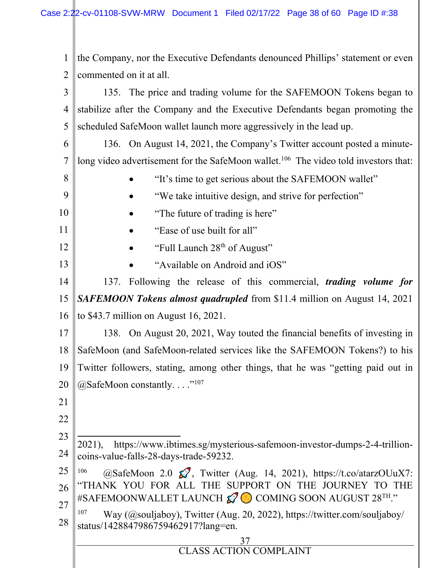37 CLASS ACTION COMPLAINT 1 2 3 4 5 6 7 8 9 10 11 12 13 14 15 16 17 18 19 20 21 22 23 24 25 26 27 28 the Company, nor the Executive Defendants denounced Phillips' statement or even commented on it at all. 135. The price and trading volume for the SAFEMOON Tokens began to stabilize after the Company and the Executive Defendants began promoting the scheduled SafeMoon wallet launch more aggressively in the lead up. 136. On August 14, 2021, the Company's Twitter account posted a minutelong video advertisement for the SafeMoon wallet.<sup>106</sup> The video told investors that: "It's time to get serious about the SAFEMOON wallet" "We take intuitive design, and strive for perfection" "The future of trading is here" "Ease of use built for all" "Full Launch 28<sup>th</sup> of August" "Available on Android and iOS" 137. Following the release of this commercial, *trading volume for SAFEMOON Tokens almost quadrupled* from \$11.4 million on August 14, 2021 to \$43.7 million on August 16, 2021. 138. On August 20, 2021, Way touted the financial benefits of investing in SafeMoon (and SafeMoon-related services like the SAFEMOON Tokens?) to his Twitter followers, stating, among other things, that he was "getting paid out in  $@SafeMoon constantly. \dots$ <sup>"107</sup> 2021), https://www.ibtimes.sg/mysterious-safemoon-investor-dumps-2-4-trillioncoins-value-falls-28-days-trade-59232. <sup>106</sup> @SafeMoon 2.0  $\mathcal{O}$ , Twitter (Aug. 14, 2021), https://t.co/atarzOUuX7: "THANK YOU FOR ALL THE SUPPORT ON THE JOURNEY TO THE #SAFEMOONWALLET LAUNCH  $\mathcal{D}$  COMING SOON AUGUST 28<sup>TH</sup>." <sup>107</sup> Way (@souljaboy), Twitter (Aug. 20, 2022), https://twitter.com/souljaboy/ status/1428847986759462917?lang=en.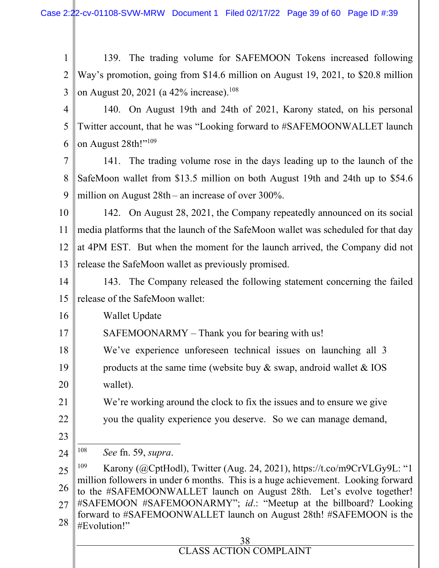1 2 3 139. The trading volume for SAFEMOON Tokens increased following Way's promotion, going from \$14.6 million on August 19, 2021, to \$20.8 million on August 20, 2021 (a 42% increase).<sup>108</sup>

- 4 5 6 140. On August 19th and 24th of 2021, Karony stated, on his personal Twitter account, that he was "Looking forward to #SAFEMOONWALLET launch on August 28th!"<sup>109</sup>
- 7 8 9 141. The trading volume rose in the days leading up to the launch of the SafeMoon wallet from \$13.5 million on both August 19th and 24th up to \$54.6 million on August 28th – an increase of over 300%.
- 10 11 12 13 142. On August 28, 2021, the Company repeatedly announced on its social media platforms that the launch of the SafeMoon wallet was scheduled for that day at 4PM EST. But when the moment for the launch arrived, the Company did not release the SafeMoon wallet as previously promised.
- 14 15 143. The Company released the following statement concerning the failed release of the SafeMoon wallet:
- 16 Wallet Update
- 17 SAFEMOONARMY – Thank you for bearing with us!
- 18 19 20 We've experience unforeseen technical issues on launching all 3 products at the same time (website buy  $\&$  swap, android wallet  $\&$  IOS wallet).
	- We're working around the clock to fix the issues and to ensure we give you the quality experience you deserve. So we can manage demand,
- 23

21

22

24 108 *See* fn. 59, *supra*.

25 26 27 28 <sup>109</sup> Karony (@CptHodl), Twitter (Aug. 24, 2021), https://t.co/m9CrVLGy9L: "1 million followers in under 6 months. This is a huge achievement. Looking forward to the #SAFEMOONWALLET launch on August 28th. Let's evolve together! #SAFEMOON #SAFEMOONARMY"; *id*.: "Meetup at the billboard? Looking forward to #SAFEMOONWALLET launch on August 28th! #SAFEMOON is the #Evolution!"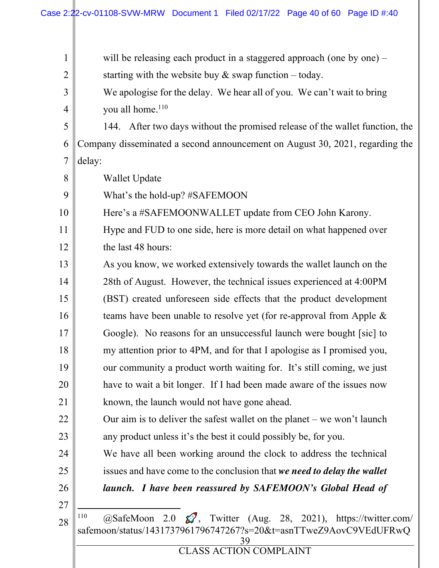| $\mathbf{1}$   | will be releasing each product in a staggered approach (one by one) $-$                                                                                       |  |  |
|----------------|---------------------------------------------------------------------------------------------------------------------------------------------------------------|--|--|
| $\overline{2}$ | starting with the website buy $\&$ swap function – today.                                                                                                     |  |  |
| 3              | We apologise for the delay. We hear all of you. We can't wait to bring                                                                                        |  |  |
| 4              | you all home. <sup>110</sup>                                                                                                                                  |  |  |
| 5              | 144. After two days without the promised release of the wallet function, the                                                                                  |  |  |
| 6              | Company disseminated a second announcement on August 30, 2021, regarding the                                                                                  |  |  |
| $\overline{7}$ | delay:                                                                                                                                                        |  |  |
| 8              | <b>Wallet Update</b>                                                                                                                                          |  |  |
| 9              | What's the hold-up? #SAFEMOON                                                                                                                                 |  |  |
| 10             | Here's a #SAFEMOONWALLET update from CEO John Karony.                                                                                                         |  |  |
| 11             | Hype and FUD to one side, here is more detail on what happened over                                                                                           |  |  |
| 12             | the last 48 hours:                                                                                                                                            |  |  |
| 13             | As you know, we worked extensively towards the wallet launch on the                                                                                           |  |  |
| 14             | 28th of August. However, the technical issues experienced at 4:00PM                                                                                           |  |  |
| 15             | (BST) created unforeseen side effects that the product development                                                                                            |  |  |
| 16             | teams have been unable to resolve yet (for re-approval from Apple &                                                                                           |  |  |
| 17             | Google). No reasons for an unsuccessful launch were bought [sic] to                                                                                           |  |  |
| 18             | my attention prior to 4PM, and for that I apologise as I promised you,                                                                                        |  |  |
| 19             | our community a product worth waiting for. It's still coming, we just                                                                                         |  |  |
| 20             | have to wait a bit longer. If I had been made aware of the issues now                                                                                         |  |  |
| 21             | known, the launch would not have gone ahead.                                                                                                                  |  |  |
| 22             | Our aim is to deliver the safest wallet on the planet $-$ we won't launch                                                                                     |  |  |
| 23             | any product unless it's the best it could possibly be, for you.                                                                                               |  |  |
| 24             | We have all been working around the clock to address the technical                                                                                            |  |  |
| 25             | issues and have come to the conclusion that we need to delay the wallet                                                                                       |  |  |
| 26             | launch. I have been reassured by SAFEMOON's Global Head of                                                                                                    |  |  |
| 27             |                                                                                                                                                               |  |  |
| 28             | 110<br>@SafeMoon 2.0 $\mathcal{D}$ , Twitter (Aug. 28, 2021), https://twitter.com/<br>safemoon/status/1431737961796747267?s=20&t=asnTTweZ9AovC9VEdUFRwQ<br>39 |  |  |
|                | CLASS ACTION COMPLAINT                                                                                                                                        |  |  |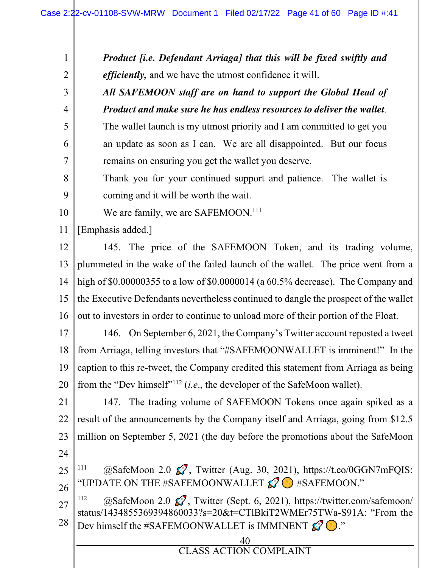40 CLASS ACTION COMPLAINT 1 2 3 4 5 6 7 8 9 10 11 12 13 14 15 16 17 18 19 20 21 22 23 24 25 26 27 28 *Product [i.e. Defendant Arriaga] that this will be fixed swiftly and efficiently,* and we have the utmost confidence it will. *All SAFEMOON staff are on hand to support the Global Head of Product and make sure he has endless resources to deliver the wallet.*  The wallet launch is my utmost priority and I am committed to get you an update as soon as I can. We are all disappointed. But our focus remains on ensuring you get the wallet you deserve. Thank you for your continued support and patience. The wallet is coming and it will be worth the wait. We are family, we are SAFEMOON.<sup>111</sup> [Emphasis added.] 145. The price of the SAFEMOON Token, and its trading volume, plummeted in the wake of the failed launch of the wallet. The price went from a high of \$0.00000355 to a low of \$0.0000014 (a 60.5% decrease). The Company and the Executive Defendants nevertheless continued to dangle the prospect of the wallet out to investors in order to continue to unload more of their portion of the Float. 146. On September 6, 2021, the Company's Twitter account reposted a tweet from Arriaga, telling investors that "#SAFEMOONWALLET is imminent!" In the caption to this re-tweet, the Company credited this statement from Arriaga as being from the "Dev himself"<sup>112</sup> (*i.e*., the developer of the SafeMoon wallet). 147. The trading volume of SAFEMOON Tokens once again spiked as a result of the announcements by the Company itself and Arriaga, going from \$12.5 million on September 5, 2021 (the day before the promotions about the SafeMoon <sup>111</sup> @SafeMoon 2.0  $\mathcal{C}$ , Twitter (Aug. 30, 2021), https://t.co/0GGN7mFQIS: "UPDATE ON THE #SAFEMOONWALLET  $\mathcal{O}$  #SAFEMOON." <sup>112</sup>  $@SafeMoon 2.0 \, \text{\textcircled{S}}$ , Twitter (Sept. 6, 2021), https://twitter.com/safemoon/ status/1434855369394860033?s=20&t=CTlBkiT2WMEr75TWa-S91A: "From the Dev himself the #SAFEMOONWALLET is IMMINENT  $\mathscr{D}(\cdot)$ ."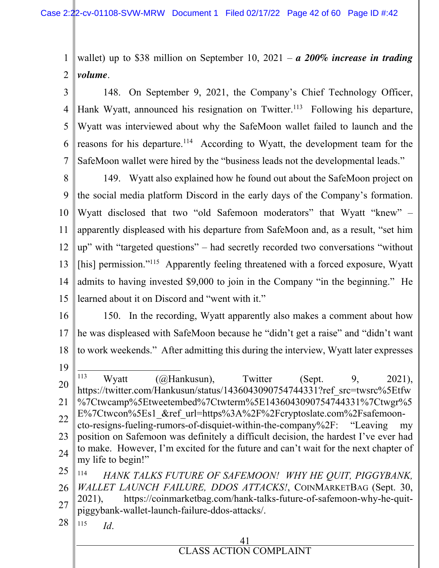1 2 wallet) up to \$38 million on September 10, 2021 – *a 200% increase in trading volume*.

3 4 5 6 7 148. On September 9, 2021, the Company's Chief Technology Officer, Hank Wyatt, announced his resignation on Twitter.<sup>113</sup> Following his departure, Wyatt was interviewed about why the SafeMoon wallet failed to launch and the reasons for his departure.<sup>114</sup> According to Wyatt, the development team for the SafeMoon wallet were hired by the "business leads not the developmental leads."

8 9 10 11 12 13 14 15 149. Wyatt also explained how he found out about the SafeMoon project on the social media platform Discord in the early days of the Company's formation. Wyatt disclosed that two "old Safemoon moderators" that Wyatt "knew" – apparently displeased with his departure from SafeMoon and, as a result, "set him up" with "targeted questions" – had secretly recorded two conversations "without [his] permission."<sup>115</sup> Apparently feeling threatened with a forced exposure, Wyatt admits to having invested \$9,000 to join in the Company "in the beginning." He learned about it on Discord and "went with it."

- 16 17 18 19 150. In the recording, Wyatt apparently also makes a comment about how he was displeased with SafeMoon because he "didn't get a raise" and "didn't want to work weekends." After admitting this during the interview, Wyatt later expresses
- 20 21 22 23 24 25 26 27 <sup>113</sup> Wyatt (@Hankusun), Twitter (Sept. 9, 2021), https://twitter.com/Hankusun/status/1436043090754744331?ref\_src=twsrc%5Etfw %7Ctwcamp%5Etweetembed%7Ctwterm%5E1436043090754744331%7Ctwgr%5 E%7Ctwcon%5Es1 &ref url=https%3A%2F%2Fcryptoslate.com%2Fsafemooncto-resigns-fueling-rumors-of-disquiet-within-the-company%2F: "Leaving my position on Safemoon was definitely a difficult decision, the hardest I've ever had to make. However, I'm excited for the future and can't wait for the next chapter of my life to begin!" 114 *HANK TALKS FUTURE OF SAFEMOON! WHY HE QUIT, PIGGYBANK, WALLET LAUNCH FAILURE, DDOS ATTACKS!*, COINMARKETBAG (Sept. 30, 2021), https://coinmarketbag.com/hank-talks-future-of-safemoon-why-he-quitpiggybank-wallet-launch-failure-ddos-attacks/.
- 28 115 *Id*.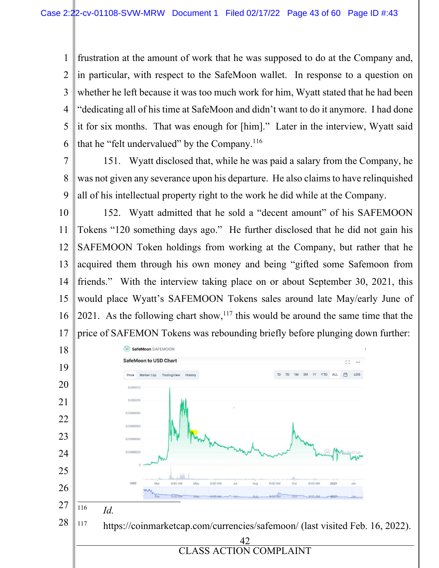frustration at the amount of work that he was supposed to do at the Company and, in particular, with respect to the SafeMoon wallet. In response to a question on whether he left because it was too much work for him, Wyatt stated that he had been "dedicating all of his time at SafeMoon and didn't want to do it anymore. I had done it for six months. That was enough for [him]." Later in the interview, Wyatt said that he "felt undervalued" by the Company.<sup>116</sup>

 151. Wyatt disclosed that, while he was paid a salary from the Company, he was not given any severance upon his departure. He also claims to have relinquished all of his intellectual property right to the work he did while at the Company.

 152. Wyatt admitted that he sold a "decent amount" of his SAFEMOON Tokens "120 something days ago." He further disclosed that he did not gain his SAFEMOON Token holdings from working at the Company, but rather that he acquired them through his own money and being "gifted some Safemoon from friends." With the interview taking place on or about September 30, 2021, this would place Wyatt's SAFEMOON Tokens sales around late May/early June of 2021. As the following chart show, this would be around the same time that the price of SAFEMON Tokens was rebounding briefly before plunging down further:

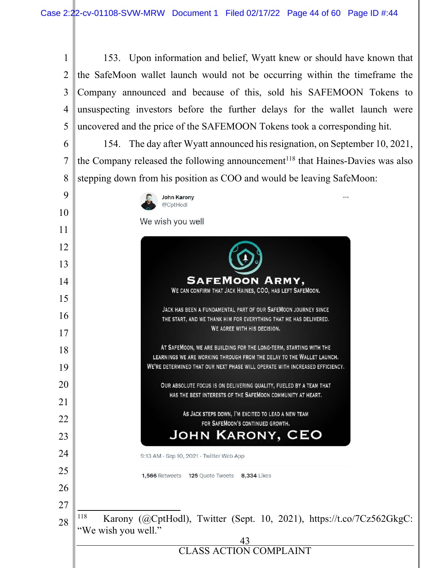153. Upon information and belief, Wyatt knew or should have known that 1  $\mathfrak{D}$ the SafeMoon wallet launch would not be occurring within the timeframe the 3 Company announced and because of this, sold his SAFEMOON Tokens to unsuspecting investors before the further delays for the wallet launch were 4 uncovered and the price of the SAFEMOON Tokens took a corresponding hit. 5 154. The day after Wyatt announced his resignation, on September 10, 2021, 6 the Company released the following announcement<sup>118</sup> that Haines-Davies was also 7 8 stepping down from his position as COO and would be leaving SafeMoon: 9 **John Karony** @CptHodl 10 We wish you well 11 12 13 **SAFEMOON ARMY.** 14 WE CAN CONFIRM THAT JACK HAINES, COO, HAS LEFT SAFEMOON. 15 JACK HAS BEEN A FUNDAMENTAL PART OF OUR SAFEMOON JOURNEY SINCE 16 THE START, AND WE THANK HIM FOR EVERYTHING THAT HE HAS DELIVERED. WE AGREE WITH HIS DECISION. 17 AT SAFEMOON, WE ARE BUILDING FOR THE LONG-TERM, STARTING WITH THE 18 LEARNINGS WE ARE WORKING THROUGH FROM THE DELAY TO THE WALLET LAUNCH. 19 WE'RE DETERMINED THAT OUR NEXT PHASE WILL OPERATE WITH INCREASED EFFICIENCY. 20 OUR ABSOLUTE FOCUS IS ON DELIVERING QUALITY, FUELED BY A TEAM THAT HAS THE BEST INTERESTS OF THE SAFEMOON COMMUNITY AT HEART. 21 AS JACK STEPS DOWN, I'M EXCITED TO LEAD A NEW TEAM 22 FOR SAFEMOON'S CONTINUED GROWTH. **JOHN KARONY, CEO** 23 24 9:13 AM · Sep 10, 2021 · Twitter Web App 25 1,566 Retweets 125 Quote Tweets 8,334 Likes 26 27 <sup>118</sup> Karony (@CptHodl), Twitter (Sept. 10, 2021), https://t.co/7Cz562GkgC: 28 "We wish you well." 43 CLASS ACTION COMPLAINT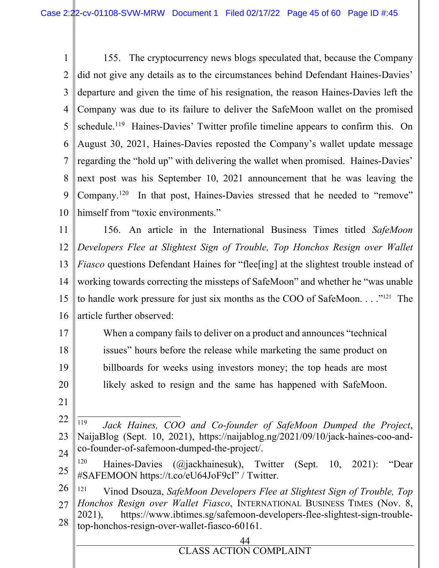1 2 3 4 5 6 7 8 9 10 155. The cryptocurrency news blogs speculated that, because the Company did not give any details as to the circumstances behind Defendant Haines-Davies' departure and given the time of his resignation, the reason Haines-Davies left the Company was due to its failure to deliver the SafeMoon wallet on the promised schedule.<sup>119</sup> Haines-Davies' Twitter profile timeline appears to confirm this. On August 30, 2021, Haines-Davies reposted the Company's wallet update message regarding the "hold up" with delivering the wallet when promised. Haines-Davies' next post was his September 10, 2021 announcement that he was leaving the Company.<sup>120</sup> In that post, Haines-Davies stressed that he needed to "remove" himself from "toxic environments."

11 12 13 14 15 16 156. An article in the International Business Times titled *SafeMoon Developers Flee at Slightest Sign of Trouble, Top Honchos Resign over Wallet Fiasco* questions Defendant Haines for "flee [ing] at the slightest trouble instead of working towards correcting the missteps of SafeMoon" and whether he "was unable to handle work pressure for just six months as the COO of SafeMoon. . . ."121 The article further observed:

17 18 19 20 When a company fails to deliver on a product and announces "technical issues" hours before the release while marketing the same product on billboards for weeks using investors money; the top heads are most likely asked to resign and the same has happened with SafeMoon.

- 21
- 22 23 24 119 *Jack Haines, COO and Co-founder of SafeMoon Dumped the Project*, NaijaBlog (Sept. 10, 2021), https://naijablog.ng/2021/09/10/jack-haines-coo-andco-founder-of-safemoon-dumped-the-project/.
- 25 <sup>120</sup> Haines-Davies (@jackhainesuk), Twitter (Sept. 10, 2021): "Dear #SAFEMOON https://t.co/eU64JoF9cI" / Twitter.
- 26 27 28 <sup>121</sup> Vinod Dsouza, *SafeMoon Developers Flee at Slightest Sign of Trouble, Top Honchos Resign over Wallet Fiasco*, INTERNATIONAL BUSINESS TIMES (Nov. 8, 2021), https://www.ibtimes.sg/safemoon-developers-flee-slightest-sign-troubletop-honchos-resign-over-wallet-fiasco-60161.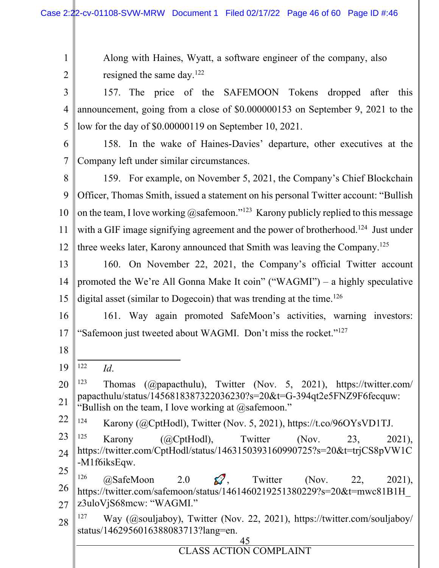Along with Haines, Wyatt, a software engineer of the company, also resigned the same day.<sup>122</sup>

3 4 5 157. The price of the SAFEMOON Tokens dropped after this announcement, going from a close of \$0.000000153 on September 9, 2021 to the low for the day of \$0.00000119 on September 10, 2021.

6 7 158. In the wake of Haines-Davies' departure, other executives at the Company left under similar circumstances.

8 9 10 11 12 159. For example, on November 5, 2021, the Company's Chief Blockchain Officer, Thomas Smith, issued a statement on his personal Twitter account: "Bullish on the team, I love working  $@$ safemoon."<sup>123</sup> Karony publicly replied to this message with a GIF image signifying agreement and the power of brotherhood.<sup>124</sup> Just under three weeks later, Karony announced that Smith was leaving the Company.<sup>125</sup>

13 14 15 160. On November 22, 2021, the Company's official Twitter account promoted the We're All Gonna Make It coin" ("WAGMI") – a highly speculative digital asset (similar to Dogecoin) that was trending at the time.<sup>126</sup>

16 17 161. Way again promoted SafeMoon's activities, warning investors: "Safemoon just tweeted about WAGMI. Don't miss the rocket."<sup>127</sup>

18

1

2

19 122 *Id*.

20 21 <sup>123</sup> Thomas (@papacthulu), Twitter (Nov. 5, 2021), https://twitter.com/ papacthulu/status/1456818387322036230?s=20&t=G-394qt2e5FNZ9F6fecquw: "Bullish on the team, I love working at  $@$ safemoon."

22 <sup>124</sup> Karony (@CptHodl), Twitter (Nov. 5, 2021), https://t.co/96OYsVD1TJ.

23 24 25 <sup>125</sup> Karony (@CptHodl), Twitter (Nov. 23, 2021), https://twitter.com/CptHodl/status/1463150393160990725?s=20&t=trjCS8pVW1C -M1f6iksEqw.

26 27 <sup>126</sup>  $\omega$ SafeMoon 2.0  $\omega$ , Twitter (Nov. 22, 2021), https://twitter.com/safemoon/status/1461460219251380229?s=20&t=mwc81B1H\_ z3uloVjS68mcw: "WAGMI."

28 <sup>127</sup> Way (@souljaboy), Twitter (Nov. 22, 2021), https://twitter.com/souljaboy/ status/1462956016388083713?lang=en.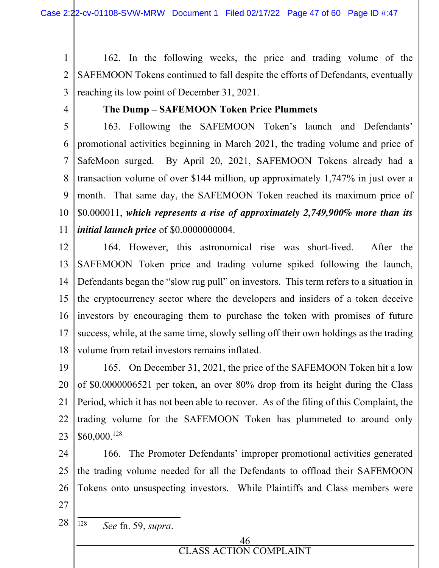1 2 3 162. In the following weeks, the price and trading volume of the SAFEMOON Tokens continued to fall despite the efforts of Defendants, eventually reaching its low point of December 31, 2021.

4

## **The Dump – SAFEMOON Token Price Plummets**

5 6 7 8 9 10 11 163. Following the SAFEMOON Token's launch and Defendants' promotional activities beginning in March 2021, the trading volume and price of SafeMoon surged. By April 20, 2021, SAFEMOON Tokens already had a transaction volume of over \$144 million, up approximately 1,747% in just over a month. That same day, the SAFEMOON Token reached its maximum price of \$0.000011, *which represents a rise of approximately 2,749,900% more than its initial launch price* of \$0.0000000004.

12 13 14 15 16 17 18 164. However, this astronomical rise was short-lived. After the SAFEMOON Token price and trading volume spiked following the launch, Defendants began the "slow rug pull" on investors. This term refers to a situation in the cryptocurrency sector where the developers and insiders of a token deceive investors by encouraging them to purchase the token with promises of future success, while, at the same time, slowly selling off their own holdings as the trading volume from retail investors remains inflated.

19 20 21 22 23 165. On December 31, 2021, the price of the SAFEMOON Token hit a low of \$0.0000006521 per token, an over 80% drop from its height during the Class Period, which it has not been able to recover. As of the filing of this Complaint, the trading volume for the SAFEMOON Token has plummeted to around only \$60,000.<sup>128</sup>

24 25 26 27 166. The Promoter Defendants' improper promotional activities generated the trading volume needed for all the Defendants to offload their SAFEMOON Tokens onto unsuspecting investors. While Plaintiffs and Class members were

28 128 *See* fn. 59, *supra*.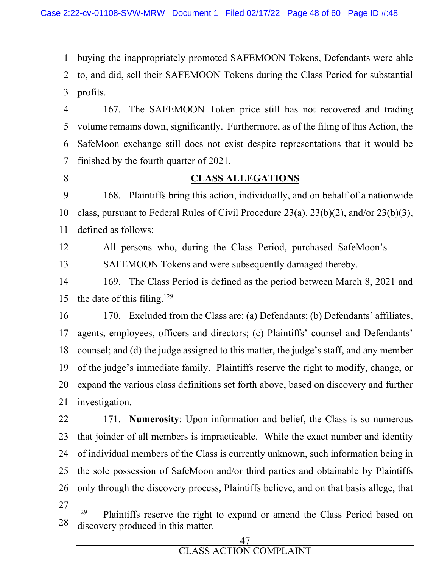1 2 3 buying the inappropriately promoted SAFEMOON Tokens, Defendants were able to, and did, sell their SAFEMOON Tokens during the Class Period for substantial profits.

4 5 6 7 167. The SAFEMOON Token price still has not recovered and trading volume remains down, significantly. Furthermore, as of the filing of this Action, the SafeMoon exchange still does not exist despite representations that it would be finished by the fourth quarter of 2021.

8

# **CLASS ALLEGATIONS**

9 10 11 168. Plaintiffs bring this action, individually, and on behalf of a nationwide class, pursuant to Federal Rules of Civil Procedure 23(a), 23(b)(2), and/or 23(b)(3), defined as follows:

12

13

All persons who, during the Class Period, purchased SafeMoon's SAFEMOON Tokens and were subsequently damaged thereby.

14 15 169. The Class Period is defined as the period between March 8, 2021 and the date of this filing.<sup>129</sup>

16 17 18 19 20 21 170. Excluded from the Class are: (a) Defendants; (b) Defendants' affiliates, agents, employees, officers and directors; (c) Plaintiffs' counsel and Defendants' counsel; and (d) the judge assigned to this matter, the judge's staff, and any member of the judge's immediate family. Plaintiffs reserve the right to modify, change, or expand the various class definitions set forth above, based on discovery and further investigation.

22 23 24 25 26 171. **Numerosity**: Upon information and belief, the Class is so numerous that joinder of all members is impracticable. While the exact number and identity of individual members of the Class is currently unknown, such information being in the sole possession of SafeMoon and/or third parties and obtainable by Plaintiffs only through the discovery process, Plaintiffs believe, and on that basis allege, that

27

28 <sup>129</sup> Plaintiffs reserve the right to expand or amend the Class Period based on discovery produced in this matter.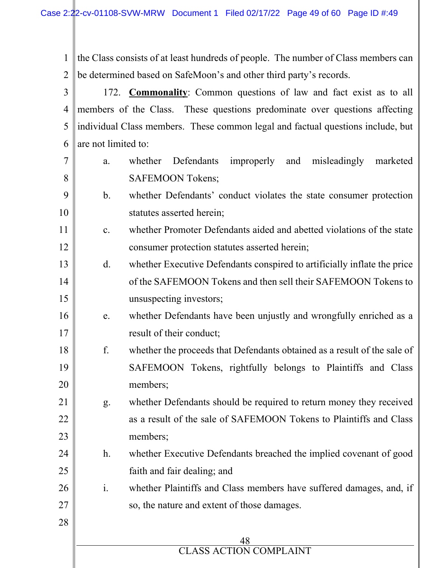1 2 the Class consists of at least hundreds of people. The number of Class members can be determined based on SafeMoon's and other third party's records.

3 4 5 6 172. **Commonality**: Common questions of law and fact exist as to all members of the Class. These questions predominate over questions affecting individual Class members. These common legal and factual questions include, but are not limited to:

a. whether Defendants improperly and misleadingly marketed SAFEMOON Tokens;

7

8

9

10

25

28

# b. whether Defendants' conduct violates the state consumer protection statutes asserted herein;

- 11 12 c. whether Promoter Defendants aided and abetted violations of the state consumer protection statutes asserted herein;
- 13 14 15 d. whether Executive Defendants conspired to artificially inflate the price of the SAFEMOON Tokens and then sell their SAFEMOON Tokens to unsuspecting investors;
- 16 17 e. whether Defendants have been unjustly and wrongfully enriched as a result of their conduct;
- 18 19 20 f. whether the proceeds that Defendants obtained as a result of the sale of SAFEMOON Tokens, rightfully belongs to Plaintiffs and Class members;
- 21 22 23 g. whether Defendants should be required to return money they received as a result of the sale of SAFEMOON Tokens to Plaintiffs and Class members;
- 24 h. whether Executive Defendants breached the implied covenant of good faith and fair dealing; and
- 26 27 i. whether Plaintiffs and Class members have suffered damages, and, if so, the nature and extent of those damages.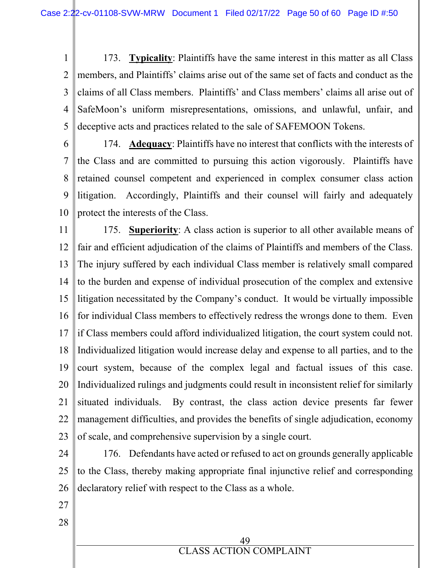1 2 3 4 5 173. **Typicality**: Plaintiffs have the same interest in this matter as all Class members, and Plaintiffs' claims arise out of the same set of facts and conduct as the claims of all Class members. Plaintiffs' and Class members' claims all arise out of SafeMoon's uniform misrepresentations, omissions, and unlawful, unfair, and deceptive acts and practices related to the sale of SAFEMOON Tokens.

6

7 8  $\mathbf Q$ 10 174. **Adequacy**: Plaintiffs have no interest that conflicts with the interests of the Class and are committed to pursuing this action vigorously. Plaintiffs have retained counsel competent and experienced in complex consumer class action litigation. Accordingly, Plaintiffs and their counsel will fairly and adequately protect the interests of the Class.

11 12 13 14 15 16 17 18 19 20 21 22 23 175. **Superiority**: A class action is superior to all other available means of fair and efficient adjudication of the claims of Plaintiffs and members of the Class. The injury suffered by each individual Class member is relatively small compared to the burden and expense of individual prosecution of the complex and extensive litigation necessitated by the Company's conduct. It would be virtually impossible for individual Class members to effectively redress the wrongs done to them. Even if Class members could afford individualized litigation, the court system could not. Individualized litigation would increase delay and expense to all parties, and to the court system, because of the complex legal and factual issues of this case. Individualized rulings and judgments could result in inconsistent relief for similarly situated individuals. By contrast, the class action device presents far fewer management difficulties, and provides the benefits of single adjudication, economy of scale, and comprehensive supervision by a single court.

- 24 25 26 176. Defendants have acted or refused to act on grounds generally applicable to the Class, thereby making appropriate final injunctive relief and corresponding declaratory relief with respect to the Class as a whole.
- 27
- 28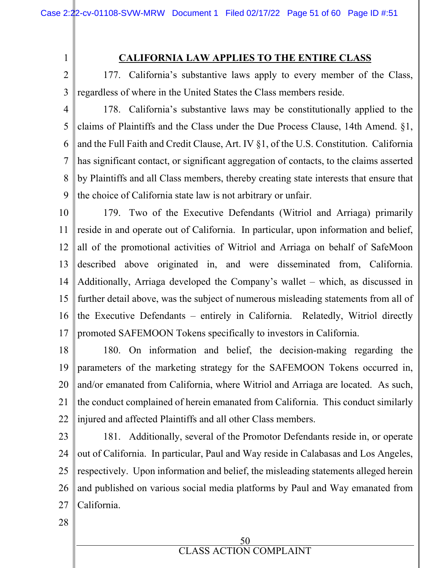# **CALIFORNIA LAW APPLIES TO THE ENTIRE CLASS**

177. California's substantive laws apply to every member of the Class, regardless of where in the United States the Class members reside.

4 5 6 7 8 9 178. California's substantive laws may be constitutionally applied to the claims of Plaintiffs and the Class under the Due Process Clause, 14th Amend. §1, and the Full Faith and Credit Clause, Art. IV §1, of the U.S. Constitution. California has significant contact, or significant aggregation of contacts, to the claims asserted by Plaintiffs and all Class members, thereby creating state interests that ensure that the choice of California state law is not arbitrary or unfair.

10 11 12 13 14 15 16 17 179. Two of the Executive Defendants (Witriol and Arriaga) primarily reside in and operate out of California. In particular, upon information and belief, all of the promotional activities of Witriol and Arriaga on behalf of SafeMoon described above originated in, and were disseminated from, California. Additionally, Arriaga developed the Company's wallet – which, as discussed in further detail above, was the subject of numerous misleading statements from all of the Executive Defendants – entirely in California. Relatedly, Witriol directly promoted SAFEMOON Tokens specifically to investors in California.

- 18 19 20 21 22 180. On information and belief, the decision-making regarding the parameters of the marketing strategy for the SAFEMOON Tokens occurred in, and/or emanated from California, where Witriol and Arriaga are located. As such, the conduct complained of herein emanated from California. This conduct similarly injured and affected Plaintiffs and all other Class members.
- 23 24 25 26 27 181. Additionally, several of the Promotor Defendants reside in, or operate out of California. In particular, Paul and Way reside in Calabasas and Los Angeles, respectively. Upon information and belief, the misleading statements alleged herein and published on various social media platforms by Paul and Way emanated from California.

28

1

2

3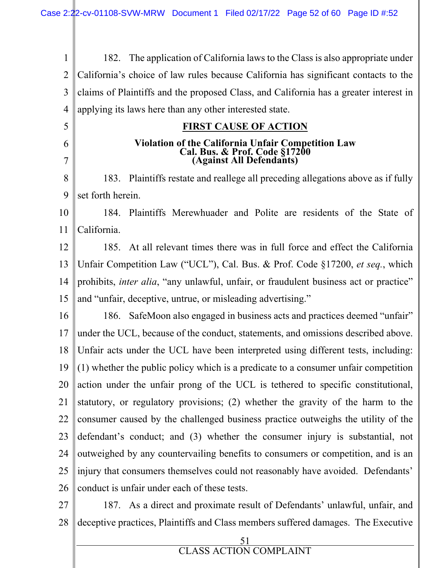51 1 2 3 4 5 6 7 8 9 10 11 12 13 14 15 16 17 18 19 20 21 22 23 24 25 26 27 28 182. The application of California laws to the Class is also appropriate under California's choice of law rules because California has significant contacts to the claims of Plaintiffs and the proposed Class, and California has a greater interest in applying its laws here than any other interested state. **FIRST CAUSE OF ACTION Violation of the California Unfair Competition Law Cal. Bus. & Prof. Code §17200 (Against All Defendants)**  183. Plaintiffs restate and reallege all preceding allegations above as if fully set forth herein. 184. Plaintiffs Merewhuader and Polite are residents of the State of California. 185. At all relevant times there was in full force and effect the California Unfair Competition Law ("UCL"), Cal. Bus. & Prof. Code §17200, *et seq.*, which prohibits, *inter alia*, "any unlawful, unfair, or fraudulent business act or practice" and "unfair, deceptive, untrue, or misleading advertising." 186. SafeMoon also engaged in business acts and practices deemed "unfair" under the UCL, because of the conduct, statements, and omissions described above. Unfair acts under the UCL have been interpreted using different tests, including: (1) whether the public policy which is a predicate to a consumer unfair competition action under the unfair prong of the UCL is tethered to specific constitutional, statutory, or regulatory provisions; (2) whether the gravity of the harm to the consumer caused by the challenged business practice outweighs the utility of the defendant's conduct; and (3) whether the consumer injury is substantial, not outweighed by any countervailing benefits to consumers or competition, and is an injury that consumers themselves could not reasonably have avoided. Defendants' conduct is unfair under each of these tests. 187. As a direct and proximate result of Defendants' unlawful, unfair, and deceptive practices, Plaintiffs and Class members suffered damages. The Executive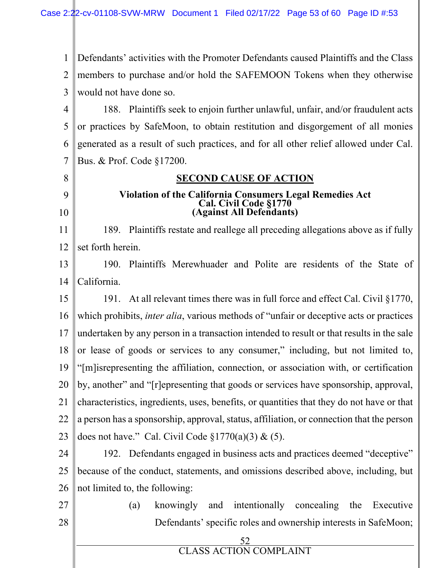1  $\mathfrak{D}$ 3 Defendants' activities with the Promoter Defendants caused Plaintiffs and the Class members to purchase and/or hold the SAFEMOON Tokens when they otherwise would not have done so.

4 5 6 7 188. Plaintiffs seek to enjoin further unlawful, unfair, and/or fraudulent acts or practices by SafeMoon, to obtain restitution and disgorgement of all monies generated as a result of such practices, and for all other relief allowed under Cal. Bus. & Prof. Code §17200.

# **SECOND CAUSE OF ACTION**

### **Violation of the California Consumers Legal Remedies Act Cal. Civil Code §1770 (Against All Defendants)**

11 12 189. Plaintiffs restate and reallege all preceding allegations above as if fully set forth herein.

13 14 190. Plaintiffs Merewhuader and Polite are residents of the State of California.

15 16 17 18 19 20 21 22 23 191. At all relevant times there was in full force and effect Cal. Civil §1770, which prohibits, *inter alia*, various methods of "unfair or deceptive acts or practices undertaken by any person in a transaction intended to result or that results in the sale or lease of goods or services to any consumer," including, but not limited to, "[m]isrepresenting the affiliation, connection, or association with, or certification by, another" and "[r]epresenting that goods or services have sponsorship, approval, characteristics, ingredients, uses, benefits, or quantities that they do not have or that a person has a sponsorship, approval, status, affiliation, or connection that the person does not have." Cal. Civil Code  $\S 1770(a)(3) \& (5)$ .

24 25 26 192. Defendants engaged in business acts and practices deemed "deceptive" because of the conduct, statements, and omissions described above, including, but not limited to, the following:

27 28

8

9

10

(a) knowingly and intentionally concealing the Executive Defendants' specific roles and ownership interests in SafeMoon;

52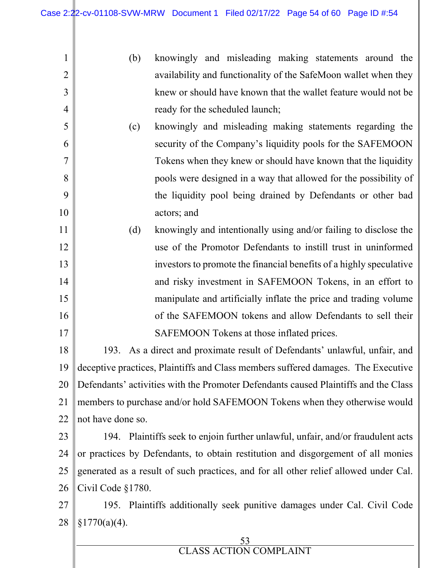| 1              | (b)<br>knowingly and misleading making statements around the                         |  |  |
|----------------|--------------------------------------------------------------------------------------|--|--|
| $\overline{2}$ | availability and functionality of the SafeMoon wallet when they                      |  |  |
| 3              | knew or should have known that the wallet feature would not be                       |  |  |
| 4              | ready for the scheduled launch;                                                      |  |  |
| 5              | knowingly and misleading making statements regarding the<br>(c)                      |  |  |
| 6              | security of the Company's liquidity pools for the SAFEMOON                           |  |  |
| 7              | Tokens when they knew or should have known that the liquidity                        |  |  |
| 8              | pools were designed in a way that allowed for the possibility of                     |  |  |
| 9              | the liquidity pool being drained by Defendants or other bad                          |  |  |
| 10             | actors; and                                                                          |  |  |
| 11             | knowingly and intentionally using and/or failing to disclose the<br>(d)              |  |  |
| 12             | use of the Promotor Defendants to instill trust in uninformed                        |  |  |
| 13             | investors to promote the financial benefits of a highly speculative                  |  |  |
| 14             | and risky investment in SAFEMOON Tokens, in an effort to                             |  |  |
| 15             | manipulate and artificially inflate the price and trading volume                     |  |  |
| 16             | of the SAFEMOON tokens and allow Defendants to sell their                            |  |  |
| 17             | SAFEMOON Tokens at those inflated prices.                                            |  |  |
| 18             | As a direct and proximate result of Defendants' unlawful, unfair, and<br>193.        |  |  |
| 19             | deceptive practices, Plaintiffs and Class members suffered damages. The Executive    |  |  |
| 20             | Defendants' activities with the Promoter Defendants caused Plaintiffs and the Class  |  |  |
| 21             | members to purchase and/or hold SAFEMOON Tokens when they otherwise would            |  |  |
| 22             | not have done so.                                                                    |  |  |
| 23             | 194. Plaintiffs seek to enjoin further unlawful, unfair, and/or fraudulent acts      |  |  |
| 24             | or practices by Defendants, to obtain restitution and disgorgement of all monies     |  |  |
| 25             | generated as a result of such practices, and for all other relief allowed under Cal. |  |  |
| 26             | Civil Code $§1780$ .                                                                 |  |  |
| 27             | 195. Plaintiffs additionally seek punitive damages under Cal. Civil Code             |  |  |
| 28             | §1770(a)(4).                                                                         |  |  |
|                | 53                                                                                   |  |  |
|                | <b>CLASS ACTION COMPLAINT</b>                                                        |  |  |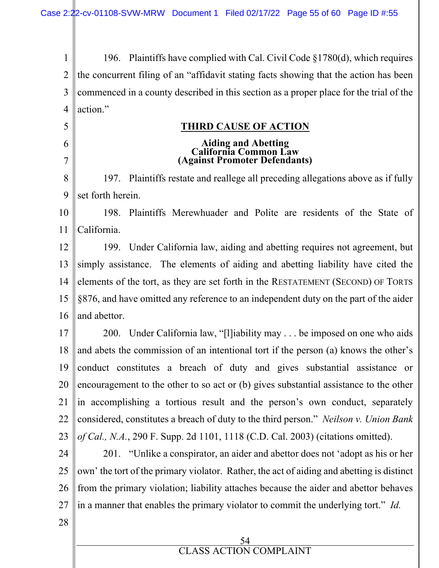1 2 3 4 196. Plaintiffs have complied with Cal. Civil Code §1780(d), which requires the concurrent filing of an "affidavit stating facts showing that the action has been commenced in a county described in this section as a proper place for the trial of the action."

### **THIRD CAUSE OF ACTION**

#### **Aiding and Abetting California Common Law (Against Promoter Defendants)**

8 9 197. Plaintiffs restate and reallege all preceding allegations above as if fully set forth herein.

10 11 198. Plaintiffs Merewhuader and Polite are residents of the State of California.

12 13 14 15 16 199. Under California law, aiding and abetting requires not agreement, but simply assistance. The elements of aiding and abetting liability have cited the elements of the tort, as they are set forth in the RESTATEMENT (SECOND) OF TORTS §876, and have omitted any reference to an independent duty on the part of the aider and abettor.

17 18 19 20 21 22 23 200. Under California law, "[l]iability may . . . be imposed on one who aids and abets the commission of an intentional tort if the person (a) knows the other's conduct constitutes a breach of duty and gives substantial assistance or encouragement to the other to so act or (b) gives substantial assistance to the other in accomplishing a tortious result and the person's own conduct, separately considered, constitutes a breach of duty to the third person." *Neilson v. Union Bank of Cal., N.A.*, 290 F. Supp. 2d 1101, 1118 (C.D. Cal. 2003) (citations omitted).

24 25 26 27 201. "Unlike a conspirator, an aider and abettor does not 'adopt as his or her own' the tort of the primary violator. Rather, the act of aiding and abetting is distinct from the primary violation; liability attaches because the aider and abettor behaves in a manner that enables the primary violator to commit the underlying tort." *Id.*

28

5

6

7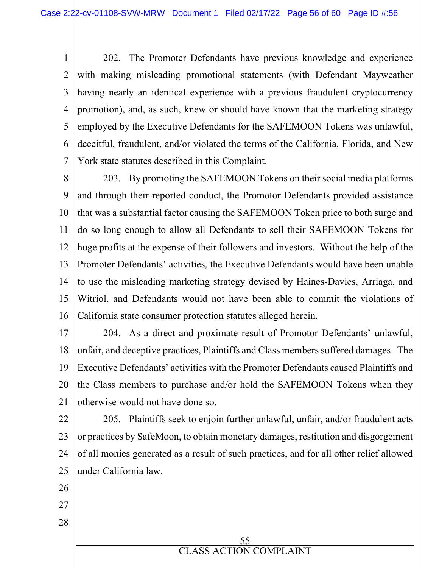1 2 3 4 5 6 7 202. The Promoter Defendants have previous knowledge and experience with making misleading promotional statements (with Defendant Mayweather having nearly an identical experience with a previous fraudulent cryptocurrency promotion), and, as such, knew or should have known that the marketing strategy employed by the Executive Defendants for the SAFEMOON Tokens was unlawful, deceitful, fraudulent, and/or violated the terms of the California, Florida, and New York state statutes described in this Complaint.

8 9 10 11 12 13 14 15 16 203. By promoting the SAFEMOON Tokens on their social media platforms and through their reported conduct, the Promotor Defendants provided assistance that was a substantial factor causing the SAFEMOON Token price to both surge and do so long enough to allow all Defendants to sell their SAFEMOON Tokens for huge profits at the expense of their followers and investors. Without the help of the Promoter Defendants' activities, the Executive Defendants would have been unable to use the misleading marketing strategy devised by Haines-Davies, Arriaga, and Witriol, and Defendants would not have been able to commit the violations of California state consumer protection statutes alleged herein.

- 17 18 19 20 21 204. As a direct and proximate result of Promotor Defendants' unlawful, unfair, and deceptive practices, Plaintiffs and Class members suffered damages. The Executive Defendants' activities with the Promoter Defendants caused Plaintiffs and the Class members to purchase and/or hold the SAFEMOON Tokens when they otherwise would not have done so.
- 22 23 24 25 205. Plaintiffs seek to enjoin further unlawful, unfair, and/or fraudulent acts or practices by SafeMoon, to obtain monetary damages, restitution and disgorgement of all monies generated as a result of such practices, and for all other relief allowed under California law.

55 CLASS ACTION COMPLAINT

- 26
- 27

28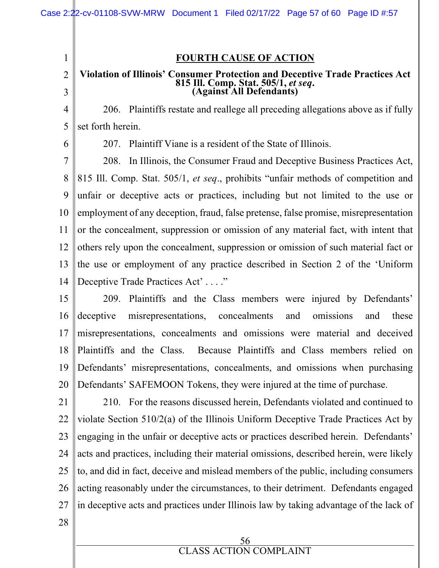### **FOURTH CAUSE OF ACTION**

#### **Violation of Illinois' Consumer Protection and Deceptive Trade Practices Act 815 Ill. Comp. Stat. 505/1,** *et seq***. (Against All Defendants)**

206. Plaintiffs restate and reallege all preceding allegations above as if fully set forth herein.

6

1

2

3

4

5

207. Plaintiff Viane is a resident of the State of Illinois.

7 8 9 10 11 12 13 14 208. In Illinois, the Consumer Fraud and Deceptive Business Practices Act, 815 Ill. Comp. Stat. 505/1, *et seq*., prohibits "unfair methods of competition and unfair or deceptive acts or practices, including but not limited to the use or employment of any deception, fraud, false pretense, false promise, misrepresentation or the concealment, suppression or omission of any material fact, with intent that others rely upon the concealment, suppression or omission of such material fact or the use or employment of any practice described in Section 2 of the 'Uniform Deceptive Trade Practices Act'...."

15 16 17 18 19 20 209. Plaintiffs and the Class members were injured by Defendants' deceptive misrepresentations, concealments and omissions and these misrepresentations, concealments and omissions were material and deceived Plaintiffs and the Class. Because Plaintiffs and Class members relied on Defendants' misrepresentations, concealments, and omissions when purchasing Defendants' SAFEMOON Tokens, they were injured at the time of purchase.

21 22 23 24 25 26 27 210. For the reasons discussed herein, Defendants violated and continued to violate Section 510/2(a) of the Illinois Uniform Deceptive Trade Practices Act by engaging in the unfair or deceptive acts or practices described herein. Defendants' acts and practices, including their material omissions, described herein, were likely to, and did in fact, deceive and mislead members of the public, including consumers acting reasonably under the circumstances, to their detriment. Defendants engaged in deceptive acts and practices under Illinois law by taking advantage of the lack of

28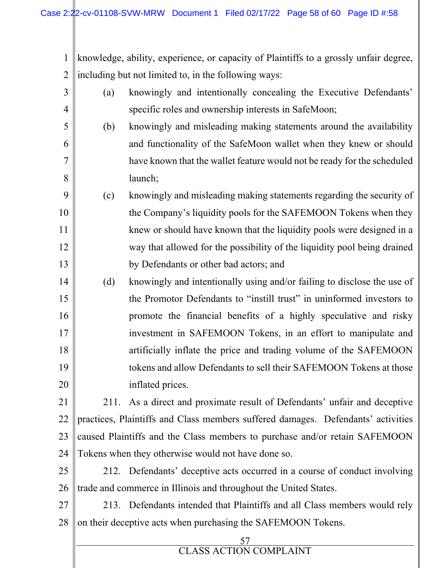57 CLASS ACTION COMPLAINT 1 2 3 4 5 6 7 8 9 10 11 12 13 14 15 16 17 18 19 20 21 22 23 24 25 26 27 28 knowledge, ability, experience, or capacity of Plaintiffs to a grossly unfair degree, including but not limited to, in the following ways: (a) knowingly and intentionally concealing the Executive Defendants' specific roles and ownership interests in SafeMoon; (b) knowingly and misleading making statements around the availability and functionality of the SafeMoon wallet when they knew or should have known that the wallet feature would not be ready for the scheduled launch; (c) knowingly and misleading making statements regarding the security of the Company's liquidity pools for the SAFEMOON Tokens when they knew or should have known that the liquidity pools were designed in a way that allowed for the possibility of the liquidity pool being drained by Defendants or other bad actors; and (d) knowingly and intentionally using and/or failing to disclose the use of the Promotor Defendants to "instill trust" in uninformed investors to promote the financial benefits of a highly speculative and risky investment in SAFEMOON Tokens, in an effort to manipulate and artificially inflate the price and trading volume of the SAFEMOON tokens and allow Defendants to sell their SAFEMOON Tokens at those inflated prices. 211. As a direct and proximate result of Defendants' unfair and deceptive practices, Plaintiffs and Class members suffered damages. Defendants' activities caused Plaintiffs and the Class members to purchase and/or retain SAFEMOON Tokens when they otherwise would not have done so. 212. Defendants' deceptive acts occurred in a course of conduct involving trade and commerce in Illinois and throughout the United States. 213. Defendants intended that Plaintiffs and all Class members would rely on their deceptive acts when purchasing the SAFEMOON Tokens.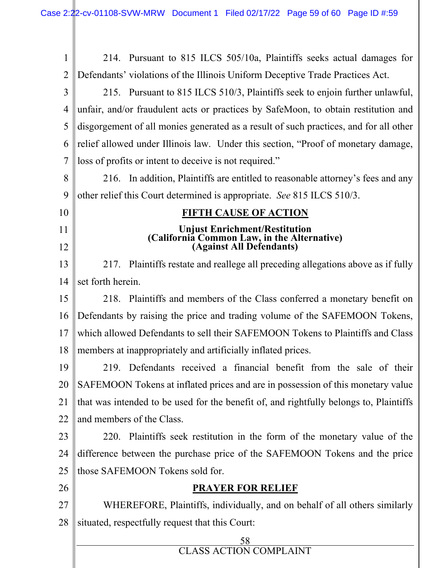| $\mathbf{1}$   | 214. Pursuant to 815 ILCS 505/10a, Plaintiffs seeks actual damages for                                   |  |  |  |
|----------------|----------------------------------------------------------------------------------------------------------|--|--|--|
| $\overline{2}$ | Defendants' violations of the Illinois Uniform Deceptive Trade Practices Act.                            |  |  |  |
| 3              | 215. Pursuant to 815 ILCS 510/3, Plaintiffs seek to enjoin further unlawful,                             |  |  |  |
| 4              | unfair, and/or fraudulent acts or practices by SafeMoon, to obtain restitution and                       |  |  |  |
| 5              | disgorgement of all monies generated as a result of such practices, and for all other                    |  |  |  |
| 6              | relief allowed under Illinois law. Under this section, "Proof of monetary damage,                        |  |  |  |
| 7              | loss of profits or intent to deceive is not required."                                                   |  |  |  |
| 8              | In addition, Plaintiffs are entitled to reasonable attorney's fees and any<br>216.                       |  |  |  |
| 9              | other relief this Court determined is appropriate. See 815 ILCS 510/3.                                   |  |  |  |
| 10             | <b>FIFTH CAUSE OF ACTION</b>                                                                             |  |  |  |
| 11             | Unjust Enrichment/Restitution<br>(California Common Law, in the Alternative)<br>(Against All Defendants) |  |  |  |
| 12             |                                                                                                          |  |  |  |
| 13             | Plaintiffs restate and reallege all preceding allegations above as if fully<br>217.                      |  |  |  |
| 14             | set forth herein.                                                                                        |  |  |  |
| 15             | 218. Plaintiffs and members of the Class conferred a monetary benefit on                                 |  |  |  |
| 16             | Defendants by raising the price and trading volume of the SAFEMOON Tokens,                               |  |  |  |
| 17             | which allowed Defendants to sell their SAFEMOON Tokens to Plaintiffs and Class                           |  |  |  |
| 18             | members at inappropriately and artificially inflated prices.                                             |  |  |  |
| 19             | 219. Defendants received a financial benefit from the sale of their                                      |  |  |  |
| 20             | SAFEMOON Tokens at inflated prices and are in possession of this monetary value                          |  |  |  |
| 21             | that was intended to be used for the benefit of, and rightfully belongs to, Plaintiffs                   |  |  |  |
| 22             | and members of the Class.                                                                                |  |  |  |
| 23             | Plaintiffs seek restitution in the form of the monetary value of the<br>220.                             |  |  |  |
| 24             | difference between the purchase price of the SAFEMOON Tokens and the price                               |  |  |  |
| 25             | those SAFEMOON Tokens sold for.                                                                          |  |  |  |
| 26             | <b>PRAYER FOR RELIEF</b>                                                                                 |  |  |  |
| 27             | WHEREFORE, Plaintiffs, individually, and on behalf of all others similarly                               |  |  |  |
| 28             | situated, respectfully request that this Court:                                                          |  |  |  |
|                | 58                                                                                                       |  |  |  |
|                | <b>CLASS ACTION COMPLAINT</b>                                                                            |  |  |  |
|                |                                                                                                          |  |  |  |